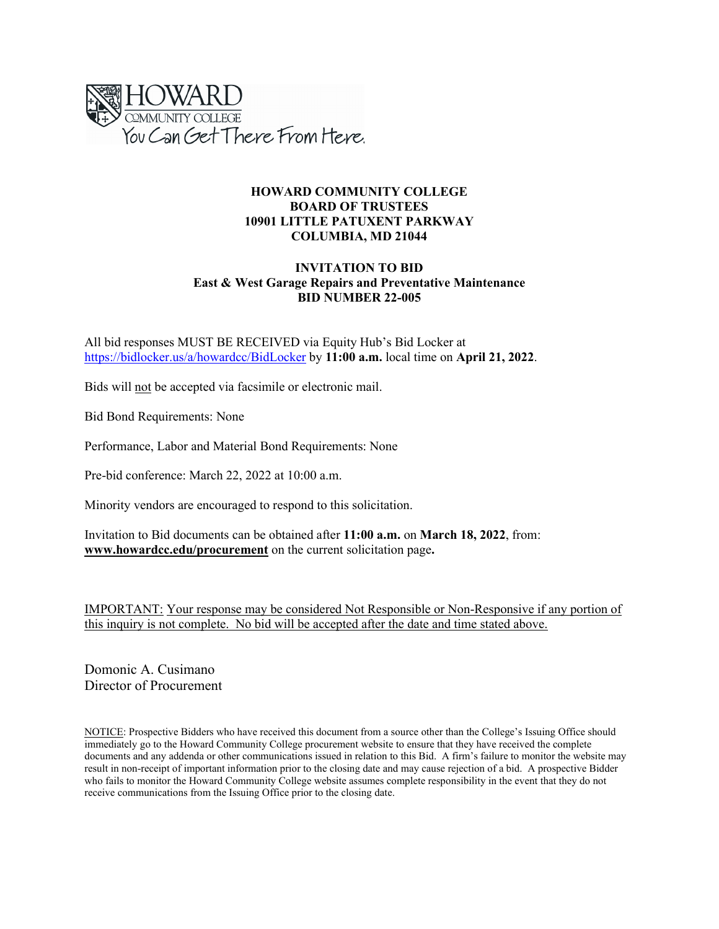

#### **HOWARD COMMUNITY COLLEGE BOARD OF TRUSTEES 10901 LITTLE PATUXENT PARKWAY COLUMBIA, MD 21044**

#### **INVITATION TO BID East & West Garage Repairs and Preventative Maintenance BID NUMBER 22-005**

All bid responses MUST BE RECEIVED via Equity Hub's Bid Locker at <https://bidlocker.us/a/howardcc/BidLocker> by **11:00 a.m.** local time on **April 21, 2022**.

Bids will not be accepted via facsimile or electronic mail.

Bid Bond Requirements: None

Performance, Labor and Material Bond Requirements: None

Pre-bid conference: March 22, 2022 at 10:00 a.m.

Minority vendors are encouraged to respond to this solicitation.

Invitation to Bid documents can be obtained after **11:00 a.m.** on **March 18, 2022**, from: **[www.howardcc.edu/procurement](http://www.howardcc.edu/procurement)** on the current solicitation page**.**

IMPORTANT: Your response may be considered Not Responsible or Non-Responsive if any portion of this inquiry is not complete. No bid will be accepted after the date and time stated above.

Domonic A. Cusimano Director of Procurement

NOTICE: Prospective Bidders who have received this document from a source other than the College's Issuing Office should immediately go to the Howard Community College procurement website to ensure that they have received the complete documents and any addenda or other communications issued in relation to this Bid. A firm's failure to monitor the website may result in non-receipt of important information prior to the closing date and may cause rejection of a bid. A prospective Bidder who fails to monitor the Howard Community College website assumes complete responsibility in the event that they do not receive communications from the Issuing Office prior to the closing date.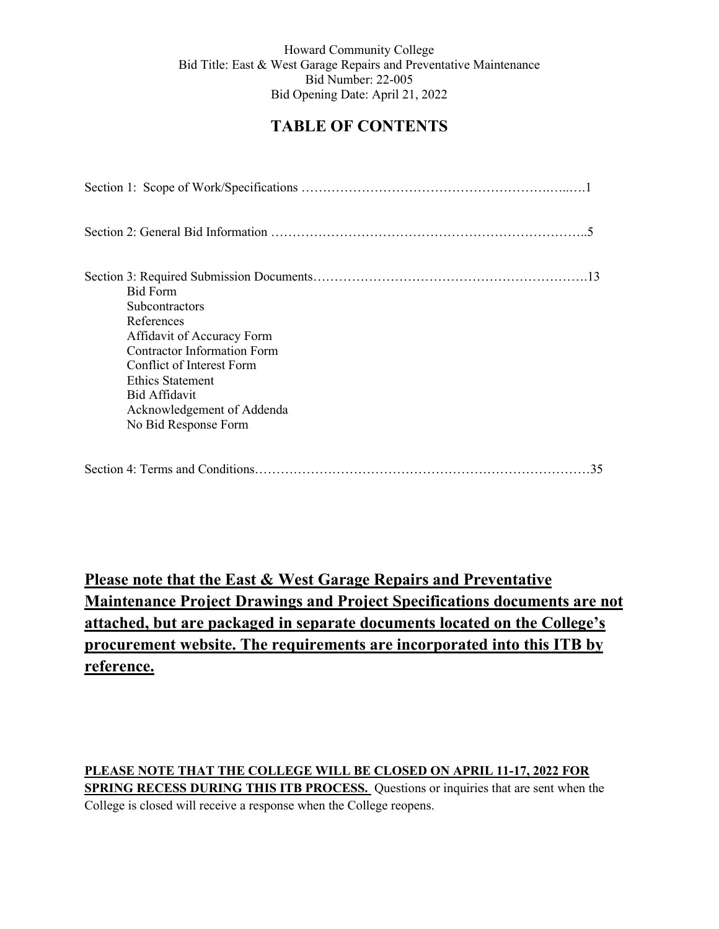# **TABLE OF CONTENTS**

| <b>Bid Form</b>                    |
|------------------------------------|
| <b>Subcontractors</b>              |
| References                         |
| Affidavit of Accuracy Form         |
| <b>Contractor Information Form</b> |
| Conflict of Interest Form          |
| Ethics Statement                   |
| Bid Affidavit                      |
| Acknowledgement of Addenda         |
| No Bid Response Form               |
|                                    |
| 35                                 |

**Please note that the East & West Garage Repairs and Preventative Maintenance Project Drawings and Project Specifications documents are not attached, but are packaged in separate documents located on the College's procurement website. The requirements are incorporated into this ITB by reference.**

## **PLEASE NOTE THAT THE COLLEGE WILL BE CLOSED ON APRIL 11-17, 2022 FOR SPRING RECESS DURING THIS ITB PROCESS.** Questions or inquiries that are sent when the College is closed will receive a response when the College reopens.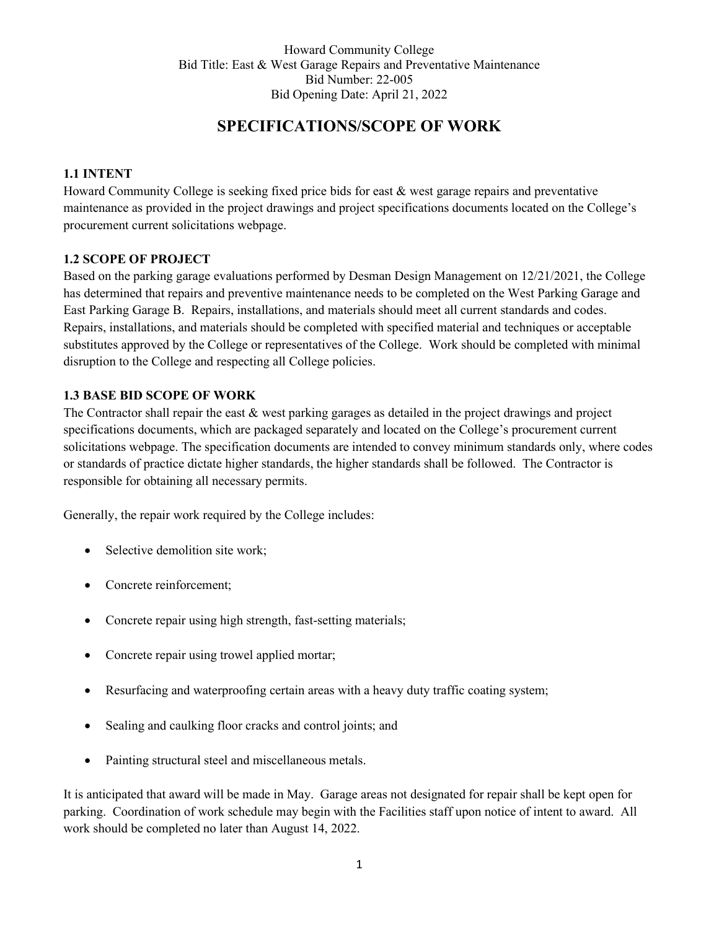# **SPECIFICATIONS/SCOPE OF WORK**

### **1.1 INTENT**

Howard Community College is seeking fixed price bids for east & west garage repairs and preventative maintenance as provided in the project drawings and project specifications documents located on the College's procurement current solicitations webpage.

#### **1.2 SCOPE OF PROJECT**

Based on the parking garage evaluations performed by Desman Design Management on 12/21/2021, the College has determined that repairs and preventive maintenance needs to be completed on the West Parking Garage and East Parking Garage B. Repairs, installations, and materials should meet all current standards and codes. Repairs, installations, and materials should be completed with specified material and techniques or acceptable substitutes approved by the College or representatives of the College. Work should be completed with minimal disruption to the College and respecting all College policies.

### **1.3 BASE BID SCOPE OF WORK**

The Contractor shall repair the east & west parking garages as detailed in the project drawings and project specifications documents, which are packaged separately and located on the College's procurement current solicitations webpage. The specification documents are intended to convey minimum standards only, where codes or standards of practice dictate higher standards, the higher standards shall be followed. The Contractor is responsible for obtaining all necessary permits.

Generally, the repair work required by the College includes:

- Selective demolition site work;
- Concrete reinforcement;
- Concrete repair using high strength, fast-setting materials;
- Concrete repair using trowel applied mortar;
- Resurfacing and waterproofing certain areas with a heavy duty traffic coating system;
- Sealing and caulking floor cracks and control joints; and
- Painting structural steel and miscellaneous metals.

It is anticipated that award will be made in May. Garage areas not designated for repair shall be kept open for parking. Coordination of work schedule may begin with the Facilities staff upon notice of intent to award. All work should be completed no later than August 14, 2022.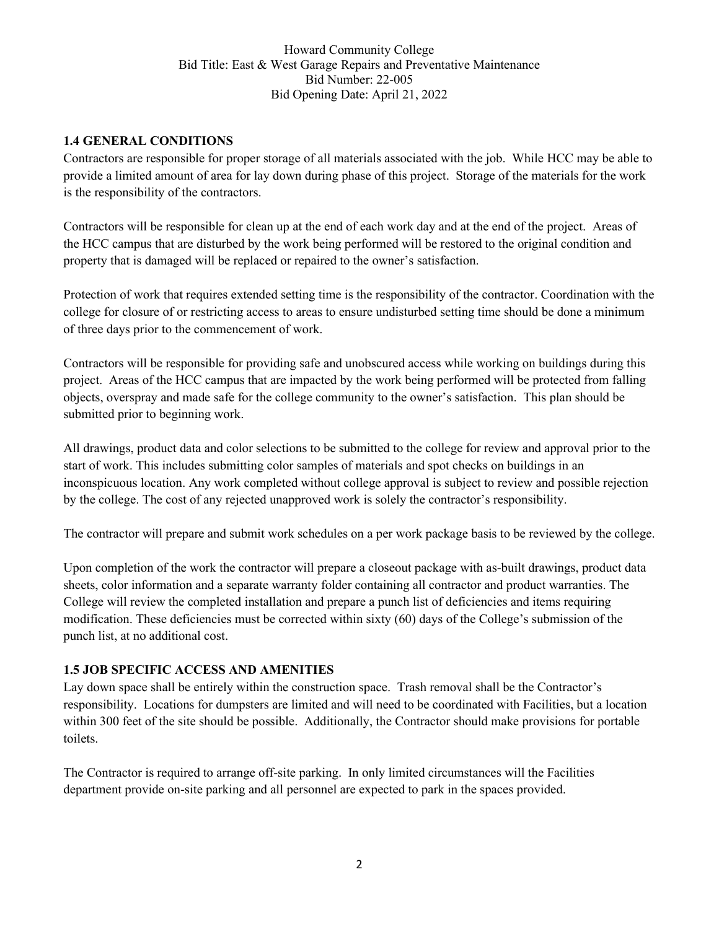#### **1.4 GENERAL CONDITIONS**

Contractors are responsible for proper storage of all materials associated with the job. While HCC may be able to provide a limited amount of area for lay down during phase of this project. Storage of the materials for the work is the responsibility of the contractors.

Contractors will be responsible for clean up at the end of each work day and at the end of the project. Areas of the HCC campus that are disturbed by the work being performed will be restored to the original condition and property that is damaged will be replaced or repaired to the owner's satisfaction.

Protection of work that requires extended setting time is the responsibility of the contractor. Coordination with the college for closure of or restricting access to areas to ensure undisturbed setting time should be done a minimum of three days prior to the commencement of work.

Contractors will be responsible for providing safe and unobscured access while working on buildings during this project. Areas of the HCC campus that are impacted by the work being performed will be protected from falling objects, overspray and made safe for the college community to the owner's satisfaction. This plan should be submitted prior to beginning work.

All drawings, product data and color selections to be submitted to the college for review and approval prior to the start of work. This includes submitting color samples of materials and spot checks on buildings in an inconspicuous location. Any work completed without college approval is subject to review and possible rejection by the college. The cost of any rejected unapproved work is solely the contractor's responsibility.

The contractor will prepare and submit work schedules on a per work package basis to be reviewed by the college.

Upon completion of the work the contractor will prepare a closeout package with as-built drawings, product data sheets, color information and a separate warranty folder containing all contractor and product warranties. The College will review the completed installation and prepare a punch list of deficiencies and items requiring modification. These deficiencies must be corrected within sixty (60) days of the College's submission of the punch list, at no additional cost.

#### **1.5 JOB SPECIFIC ACCESS AND AMENITIES**

Lay down space shall be entirely within the construction space. Trash removal shall be the Contractor's responsibility. Locations for dumpsters are limited and will need to be coordinated with Facilities, but a location within 300 feet of the site should be possible. Additionally, the Contractor should make provisions for portable toilets.

The Contractor is required to arrange off-site parking. In only limited circumstances will the Facilities department provide on-site parking and all personnel are expected to park in the spaces provided.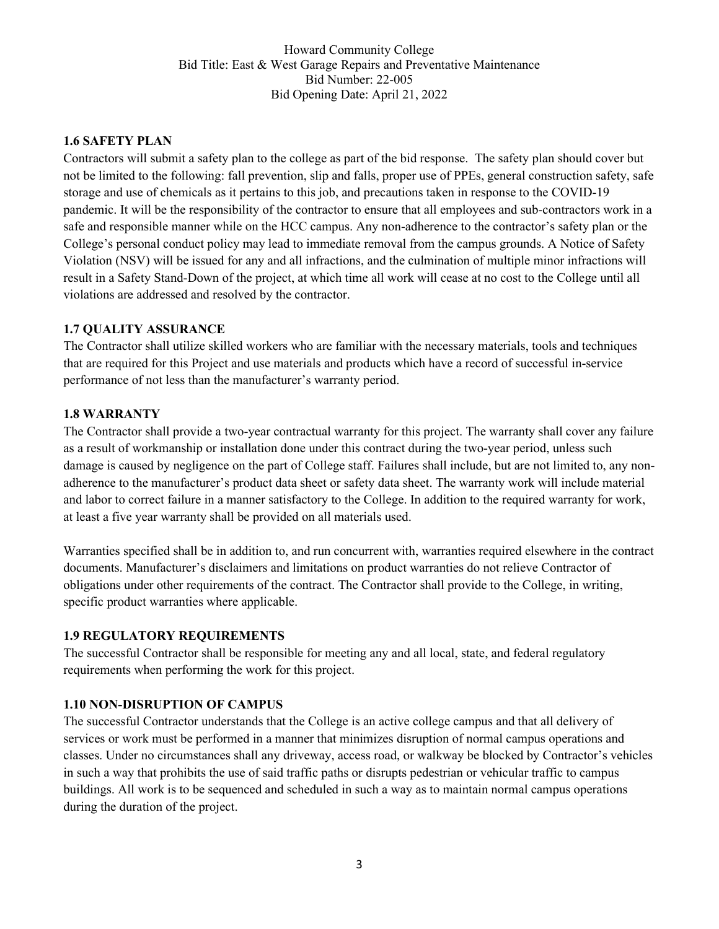#### **1.6 SAFETY PLAN**

Contractors will submit a safety plan to the college as part of the bid response. The safety plan should cover but not be limited to the following: fall prevention, slip and falls, proper use of PPEs, general construction safety, safe storage and use of chemicals as it pertains to this job, and precautions taken in response to the COVID-19 pandemic. It will be the responsibility of the contractor to ensure that all employees and sub-contractors work in a safe and responsible manner while on the HCC campus. Any non-adherence to the contractor's safety plan or the College's personal conduct policy may lead to immediate removal from the campus grounds. A Notice of Safety Violation (NSV) will be issued for any and all infractions, and the culmination of multiple minor infractions will result in a Safety Stand-Down of the project, at which time all work will cease at no cost to the College until all violations are addressed and resolved by the contractor.

#### **1.7 QUALITY ASSURANCE**

The Contractor shall utilize skilled workers who are familiar with the necessary materials, tools and techniques that are required for this Project and use materials and products which have a record of successful in-service performance of not less than the manufacturer's warranty period.

#### **1.8 WARRANTY**

The Contractor shall provide a two-year contractual warranty for this project. The warranty shall cover any failure as a result of workmanship or installation done under this contract during the two-year period, unless such damage is caused by negligence on the part of College staff. Failures shall include, but are not limited to, any nonadherence to the manufacturer's product data sheet or safety data sheet. The warranty work will include material and labor to correct failure in a manner satisfactory to the College. In addition to the required warranty for work, at least a five year warranty shall be provided on all materials used.

Warranties specified shall be in addition to, and run concurrent with, warranties required elsewhere in the contract documents. Manufacturer's disclaimers and limitations on product warranties do not relieve Contractor of obligations under other requirements of the contract. The Contractor shall provide to the College, in writing, specific product warranties where applicable.

#### **1.9 REGULATORY REQUIREMENTS**

The successful Contractor shall be responsible for meeting any and all local, state, and federal regulatory requirements when performing the work for this project.

#### **1.10 NON-DISRUPTION OF CAMPUS**

The successful Contractor understands that the College is an active college campus and that all delivery of services or work must be performed in a manner that minimizes disruption of normal campus operations and classes. Under no circumstances shall any driveway, access road, or walkway be blocked by Contractor's vehicles in such a way that prohibits the use of said traffic paths or disrupts pedestrian or vehicular traffic to campus buildings. All work is to be sequenced and scheduled in such a way as to maintain normal campus operations during the duration of the project.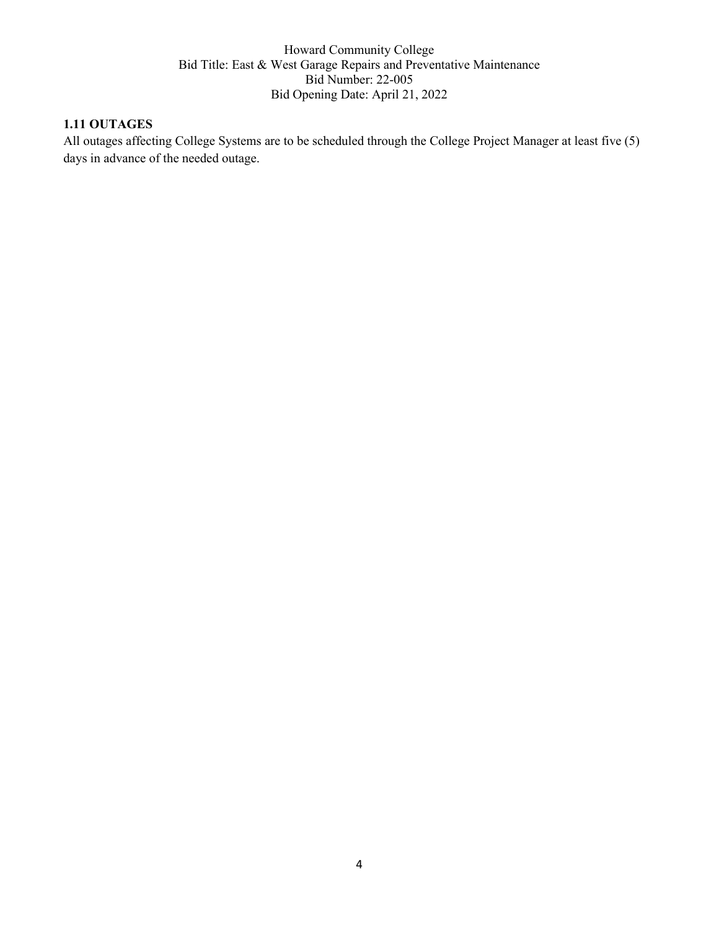# **1.11 OUTAGES**

All outages affecting College Systems are to be scheduled through the College Project Manager at least five (5) days in advance of the needed outage.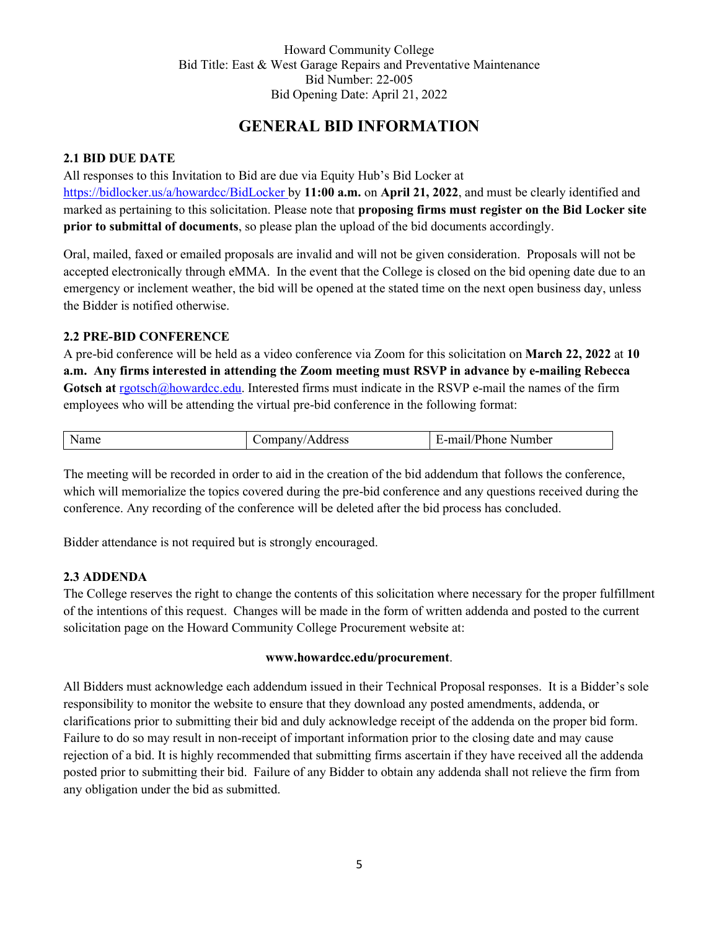# **GENERAL BID INFORMATION**

### **2.1 BID DUE DATE**

All responses to this Invitation to Bid are due via Equity Hub's Bid Locker at <https://bidlocker.us/a/howardcc/BidLocker> by **11:00 a.m.** on **April 21, 2022**, and must be clearly identified and marked as pertaining to this solicitation. Please note that **proposing firms must register on the Bid Locker site prior to submittal of documents**, so please plan the upload of the bid documents accordingly.

Oral, mailed, faxed or emailed proposals are invalid and will not be given consideration. Proposals will not be accepted electronically through eMMA. In the event that the College is closed on the bid opening date due to an emergency or inclement weather, the bid will be opened at the stated time on the next open business day, unless the Bidder is notified otherwise.

### **2.2 PRE-BID CONFERENCE**

A pre-bid conference will be held as a video conference via Zoom for this solicitation on **March 22, 2022** at **10 a.m. Any firms interested in attending the Zoom meeting must RSVP in advance by e-mailing Rebecca**  Gotsch at [rgotsch@howardcc.edu.](mailto:rgotsch@howardcc.edu) Interested firms must indicate in the RSVP e-mail the names of the firm employees who will be attending the virtual pre-bid conference in the following format:

| $\sim$<br>~~<br>and the contract of the contract of the contract of the contract of the contract of the contract of the contract of the contract of the contract of the contract of the contract of the contract of the contract of the contra |  |  |  |
|------------------------------------------------------------------------------------------------------------------------------------------------------------------------------------------------------------------------------------------------|--|--|--|
|------------------------------------------------------------------------------------------------------------------------------------------------------------------------------------------------------------------------------------------------|--|--|--|

The meeting will be recorded in order to aid in the creation of the bid addendum that follows the conference, which will memorialize the topics covered during the pre-bid conference and any questions received during the conference. Any recording of the conference will be deleted after the bid process has concluded.

Bidder attendance is not required but is strongly encouraged.

### **2.3 ADDENDA**

The College reserves the right to change the contents of this solicitation where necessary for the proper fulfillment of the intentions of this request. Changes will be made in the form of written addenda and posted to the current solicitation page on the Howard Community College Procurement website at:

#### **www.howardcc.edu/procurement**.

All Bidders must acknowledge each addendum issued in their Technical Proposal responses. It is a Bidder's sole responsibility to monitor the website to ensure that they download any posted amendments, addenda, or clarifications prior to submitting their bid and duly acknowledge receipt of the addenda on the proper bid form. Failure to do so may result in non-receipt of important information prior to the closing date and may cause rejection of a bid. It is highly recommended that submitting firms ascertain if they have received all the addenda posted prior to submitting their bid. Failure of any Bidder to obtain any addenda shall not relieve the firm from any obligation under the bid as submitted.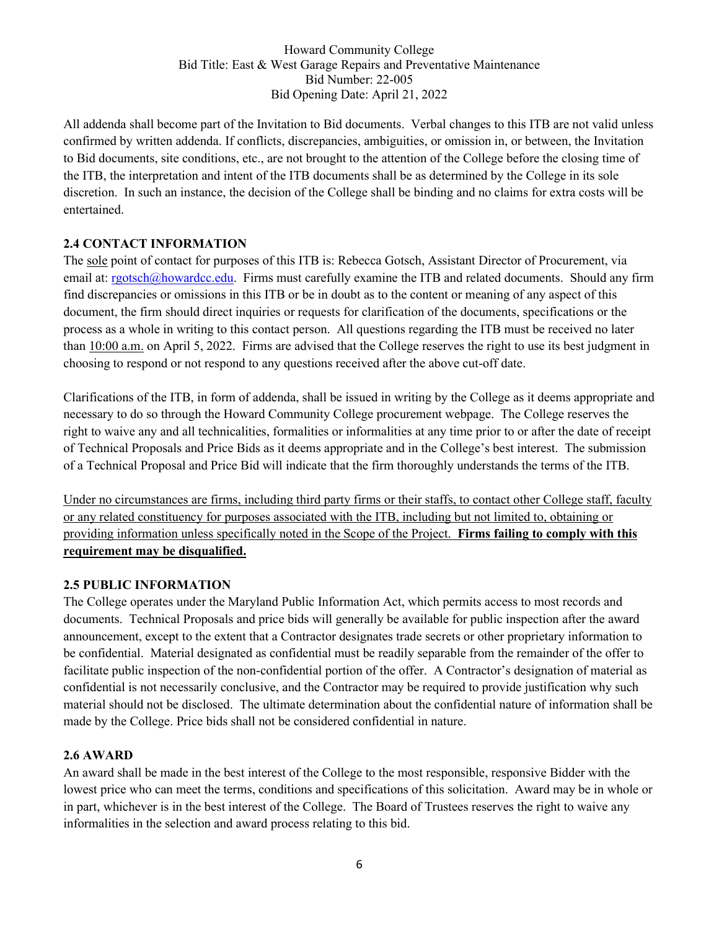All addenda shall become part of the Invitation to Bid documents. Verbal changes to this ITB are not valid unless confirmed by written addenda. If conflicts, discrepancies, ambiguities, or omission in, or between, the Invitation to Bid documents, site conditions, etc., are not brought to the attention of the College before the closing time of the ITB, the interpretation and intent of the ITB documents shall be as determined by the College in its sole discretion. In such an instance, the decision of the College shall be binding and no claims for extra costs will be entertained.

### **2.4 CONTACT INFORMATION**

The sole point of contact for purposes of this ITB is: [Rebecca](mailto:%20Rebecca) Gotsch, Assistant Director of Procurement, via email at: rgotsch@howardcc.edu. Firms must carefully examine the ITB and related documents. Should any firm find discrepancies or omissions in this ITB or be in doubt as to the content or meaning of any aspect of this document, the firm should direct inquiries or requests for clarification of the documents, specifications or the process as a whole in writing to this contact person. All questions regarding the ITB must be received no later than 10:00 a.m. on April 5, 2022. Firms are advised that the College reserves the right to use its best judgment in choosing to respond or not respond to any questions received after the above cut-off date.

Clarifications of the ITB, in form of addenda, shall be issued in writing by the College as it deems appropriate and necessary to do so through the Howard Community College procurement webpage. The College reserves the right to waive any and all technicalities, formalities or informalities at any time prior to or after the date of receipt of Technical Proposals and Price Bids as it deems appropriate and in the College's best interest. The submission of a Technical Proposal and Price Bid will indicate that the firm thoroughly understands the terms of the ITB.

Under no circumstances are firms, including third party firms or their staffs, to contact other College staff, faculty or any related constituency for purposes associated with the ITB, including but not limited to, obtaining or providing information unless specifically noted in the Scope of the Project. **Firms failing to comply with this requirement may be disqualified.**

#### **2.5 PUBLIC INFORMATION**

The College operates under the Maryland Public Information Act, which permits access to most records and documents. Technical Proposals and price bids will generally be available for public inspection after the award announcement, except to the extent that a Contractor designates trade secrets or other proprietary information to be confidential. Material designated as confidential must be readily separable from the remainder of the offer to facilitate public inspection of the non-confidential portion of the offer. A Contractor's designation of material as confidential is not necessarily conclusive, and the Contractor may be required to provide justification why such material should not be disclosed. The ultimate determination about the confidential nature of information shall be made by the College. Price bids shall not be considered confidential in nature.

### **2.6 AWARD**

An award shall be made in the best interest of the College to the most responsible, responsive Bidder with the lowest price who can meet the terms, conditions and specifications of this solicitation. Award may be in whole or in part, whichever is in the best interest of the College. The Board of Trustees reserves the right to waive any informalities in the selection and award process relating to this bid.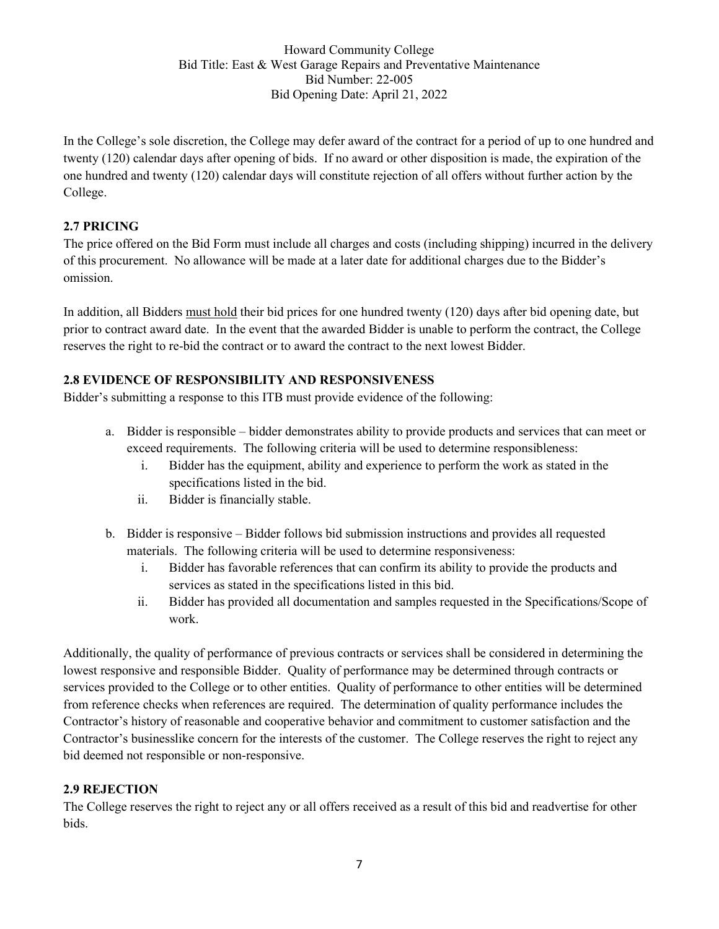In the College's sole discretion, the College may defer award of the contract for a period of up to one hundred and twenty (120) calendar days after opening of bids. If no award or other disposition is made, the expiration of the one hundred and twenty (120) calendar days will constitute rejection of all offers without further action by the College.

# **2.7 PRICING**

The price offered on the Bid Form must include all charges and costs (including shipping) incurred in the delivery of this procurement. No allowance will be made at a later date for additional charges due to the Bidder's omission.

In addition, all Bidders must hold their bid prices for one hundred twenty (120) days after bid opening date, but prior to contract award date. In the event that the awarded Bidder is unable to perform the contract, the College reserves the right to re-bid the contract or to award the contract to the next lowest Bidder.

### **2.8 EVIDENCE OF RESPONSIBILITY AND RESPONSIVENESS**

Bidder's submitting a response to this ITB must provide evidence of the following:

- a. Bidder is responsible bidder demonstrates ability to provide products and services that can meet or exceed requirements. The following criteria will be used to determine responsibleness:
	- i. Bidder has the equipment, ability and experience to perform the work as stated in the specifications listed in the bid.
	- ii. Bidder is financially stable.
- b. Bidder is responsive Bidder follows bid submission instructions and provides all requested materials. The following criteria will be used to determine responsiveness:
	- i. Bidder has favorable references that can confirm its ability to provide the products and services as stated in the specifications listed in this bid.
	- ii. Bidder has provided all documentation and samples requested in the Specifications/Scope of work.

Additionally, the quality of performance of previous contracts or services shall be considered in determining the lowest responsive and responsible Bidder. Quality of performance may be determined through contracts or services provided to the College or to other entities. Quality of performance to other entities will be determined from reference checks when references are required. The determination of quality performance includes the Contractor's history of reasonable and cooperative behavior and commitment to customer satisfaction and the Contractor's businesslike concern for the interests of the customer. The College reserves the right to reject any bid deemed not responsible or non-responsive.

### **2.9 REJECTION**

The College reserves the right to reject any or all offers received as a result of this bid and readvertise for other bids.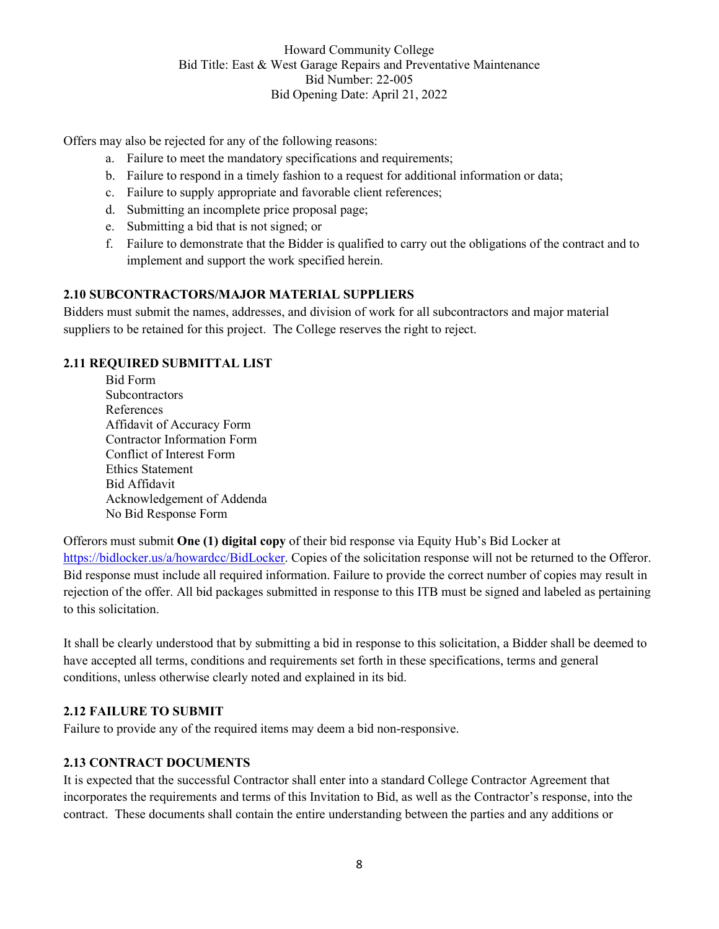Offers may also be rejected for any of the following reasons:

- a. Failure to meet the mandatory specifications and requirements;
- b. Failure to respond in a timely fashion to a request for additional information or data;
- c. Failure to supply appropriate and favorable client references;
- d. Submitting an incomplete price proposal page;
- e. Submitting a bid that is not signed; or
- f. Failure to demonstrate that the Bidder is qualified to carry out the obligations of the contract and to implement and support the work specified herein.

### **2.10 SUBCONTRACTORS/MAJOR MATERIAL SUPPLIERS**

Bidders must submit the names, addresses, and division of work for all subcontractors and major material suppliers to be retained for this project. The College reserves the right to reject.

#### **2.11 REQUIRED SUBMITTAL LIST**

Bid Form **Subcontractors** References Affidavit of Accuracy Form Contractor Information Form Conflict of Interest Form Ethics Statement Bid Affidavit Acknowledgement of Addenda No Bid Response Form

Offerors must submit **One (1) digital copy** of their bid response via Equity Hub's Bid Locker at [https://bidlocker.us/a/howardcc/BidLocker.](https://bidlocker.us/a/howardcc/BidLocker) Copies of the solicitation response will not be returned to the Offeror. Bid response must include all required information. Failure to provide the correct number of copies may result in rejection of the offer. All bid packages submitted in response to this ITB must be signed and labeled as pertaining to this solicitation.

It shall be clearly understood that by submitting a bid in response to this solicitation, a Bidder shall be deemed to have accepted all terms, conditions and requirements set forth in these specifications, terms and general conditions, unless otherwise clearly noted and explained in its bid.

#### **2.12 FAILURE TO SUBMIT**

Failure to provide any of the required items may deem a bid non-responsive.

#### **2.13 CONTRACT DOCUMENTS**

It is expected that the successful Contractor shall enter into a standard College Contractor Agreement that incorporates the requirements and terms of this Invitation to Bid, as well as the Contractor's response, into the contract. These documents shall contain the entire understanding between the parties and any additions or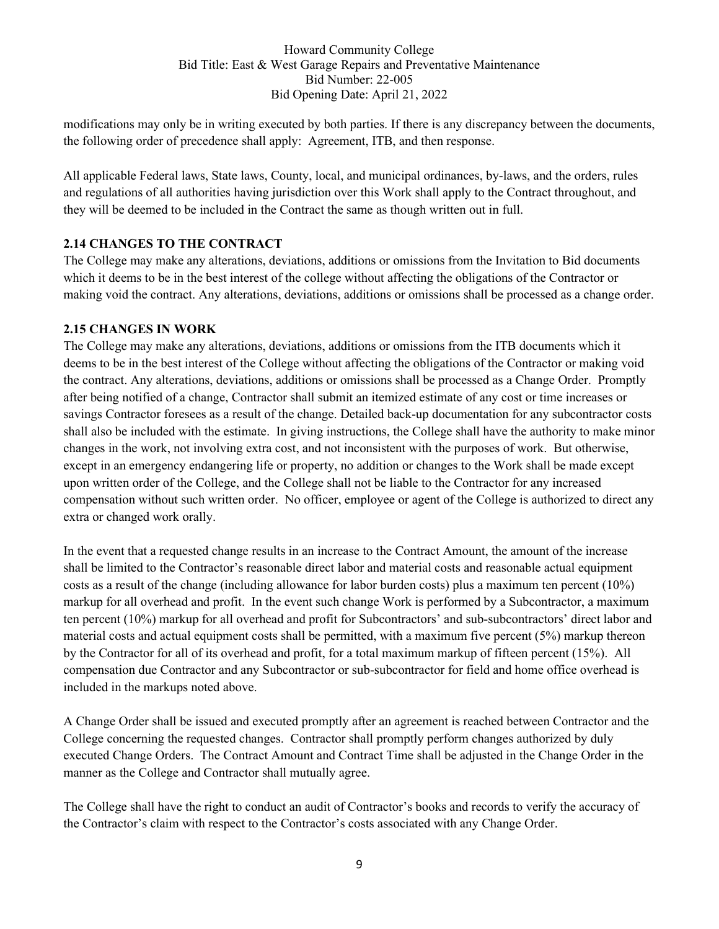modifications may only be in writing executed by both parties. If there is any discrepancy between the documents, the following order of precedence shall apply: Agreement, ITB, and then response.

All applicable Federal laws, State laws, County, local, and municipal ordinances, by-laws, and the orders, rules and regulations of all authorities having jurisdiction over this Work shall apply to the Contract throughout, and they will be deemed to be included in the Contract the same as though written out in full.

### **2.14 CHANGES TO THE CONTRACT**

The College may make any alterations, deviations, additions or omissions from the Invitation to Bid documents which it deems to be in the best interest of the college without affecting the obligations of the Contractor or making void the contract. Any alterations, deviations, additions or omissions shall be processed as a change order.

#### **2.15 CHANGES IN WORK**

The College may make any alterations, deviations, additions or omissions from the ITB documents which it deems to be in the best interest of the College without affecting the obligations of the Contractor or making void the contract. Any alterations, deviations, additions or omissions shall be processed as a Change Order. Promptly after being notified of a change, Contractor shall submit an itemized estimate of any cost or time increases or savings Contractor foresees as a result of the change. Detailed back-up documentation for any subcontractor costs shall also be included with the estimate. In giving instructions, the College shall have the authority to make minor changes in the work, not involving extra cost, and not inconsistent with the purposes of work. But otherwise, except in an emergency endangering life or property, no addition or changes to the Work shall be made except upon written order of the College, and the College shall not be liable to the Contractor for any increased compensation without such written order. No officer, employee or agent of the College is authorized to direct any extra or changed work orally.

In the event that a requested change results in an increase to the Contract Amount, the amount of the increase shall be limited to the Contractor's reasonable direct labor and material costs and reasonable actual equipment costs as a result of the change (including allowance for labor burden costs) plus a maximum ten percent (10%) markup for all overhead and profit. In the event such change Work is performed by a Subcontractor, a maximum ten percent (10%) markup for all overhead and profit for Subcontractors' and sub-subcontractors' direct labor and material costs and actual equipment costs shall be permitted, with a maximum five percent (5%) markup thereon by the Contractor for all of its overhead and profit, for a total maximum markup of fifteen percent (15%). All compensation due Contractor and any Subcontractor or sub-subcontractor for field and home office overhead is included in the markups noted above.

A Change Order shall be issued and executed promptly after an agreement is reached between Contractor and the College concerning the requested changes. Contractor shall promptly perform changes authorized by duly executed Change Orders. The Contract Amount and Contract Time shall be adjusted in the Change Order in the manner as the College and Contractor shall mutually agree.

The College shall have the right to conduct an audit of Contractor's books and records to verify the accuracy of the Contractor's claim with respect to the Contractor's costs associated with any Change Order.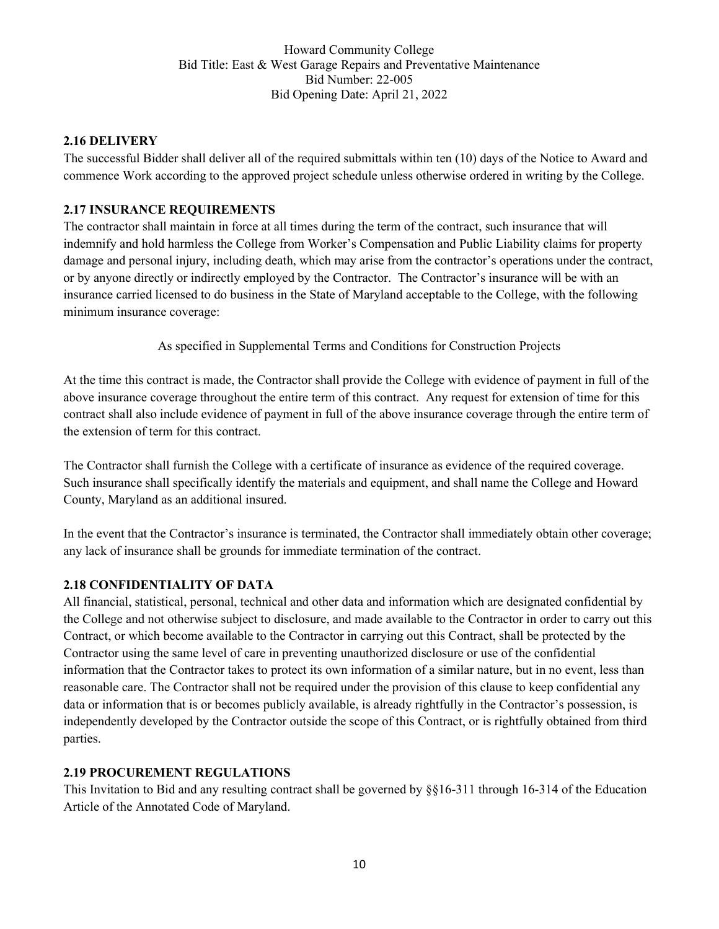#### **2.16 DELIVERY**

The successful Bidder shall deliver all of the required submittals within ten (10) days of the Notice to Award and commence Work according to the approved project schedule unless otherwise ordered in writing by the College.

### **2.17 INSURANCE REQUIREMENTS**

The contractor shall maintain in force at all times during the term of the contract, such insurance that will indemnify and hold harmless the College from Worker's Compensation and Public Liability claims for property damage and personal injury, including death, which may arise from the contractor's operations under the contract, or by anyone directly or indirectly employed by the Contractor. The Contractor's insurance will be with an insurance carried licensed to do business in the State of Maryland acceptable to the College, with the following minimum insurance coverage:

As specified in Supplemental Terms and Conditions for Construction Projects

At the time this contract is made, the Contractor shall provide the College with evidence of payment in full of the above insurance coverage throughout the entire term of this contract. Any request for extension of time for this contract shall also include evidence of payment in full of the above insurance coverage through the entire term of the extension of term for this contract.

The Contractor shall furnish the College with a certificate of insurance as evidence of the required coverage. Such insurance shall specifically identify the materials and equipment, and shall name the College and Howard County, Maryland as an additional insured.

In the event that the Contractor's insurance is terminated, the Contractor shall immediately obtain other coverage; any lack of insurance shall be grounds for immediate termination of the contract.

#### **2.18 CONFIDENTIALITY OF DATA**

All financial, statistical, personal, technical and other data and information which are designated confidential by the College and not otherwise subject to disclosure, and made available to the Contractor in order to carry out this Contract, or which become available to the Contractor in carrying out this Contract, shall be protected by the Contractor using the same level of care in preventing unauthorized disclosure or use of the confidential information that the Contractor takes to protect its own information of a similar nature, but in no event, less than reasonable care. The Contractor shall not be required under the provision of this clause to keep confidential any data or information that is or becomes publicly available, is already rightfully in the Contractor's possession, is independently developed by the Contractor outside the scope of this Contract, or is rightfully obtained from third parties.

#### **2.19 PROCUREMENT REGULATIONS**

This Invitation to Bid and any resulting contract shall be governed by §§16-311 through 16-314 of the Education Article of the Annotated Code of Maryland.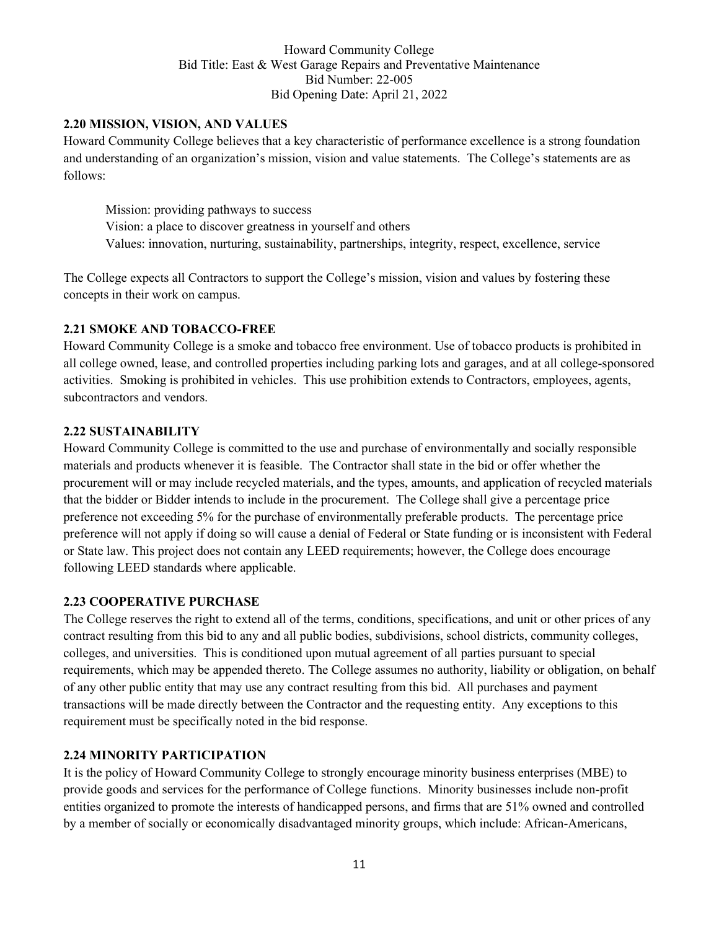#### **2.20 MISSION, VISION, AND VALUES**

Howard Community College believes that a key characteristic of performance excellence is a strong foundation and understanding of an organization's mission, vision and value statements. The College's statements are as follows:

Mission: providing pathways to success Vision: a place to discover greatness in yourself and others Values: innovation, nurturing, sustainability, partnerships, integrity, respect, excellence, service

The College expects all Contractors to support the College's mission, vision and values by fostering these concepts in their work on campus.

### **2.21 SMOKE AND TOBACCO-FREE**

Howard Community College is a smoke and tobacco free environment. Use of tobacco products is prohibited in all college owned, lease, and controlled properties including parking lots and garages, and at all college-sponsored activities. Smoking is prohibited in vehicles. This use prohibition extends to Contractors, employees, agents, subcontractors and vendors.

#### **2.22 SUSTAINABILITY**

Howard Community College is committed to the use and purchase of environmentally and socially responsible materials and products whenever it is feasible. The Contractor shall state in the bid or offer whether the procurement will or may include recycled materials, and the types, amounts, and application of recycled materials that the bidder or Bidder intends to include in the procurement. The College shall give a percentage price preference not exceeding 5% for the purchase of environmentally preferable products. The percentage price preference will not apply if doing so will cause a denial of Federal or State funding or is inconsistent with Federal or State law. This project does not contain any LEED requirements; however, the College does encourage following LEED standards where applicable.

#### **2.23 COOPERATIVE PURCHASE**

The College reserves the right to extend all of the terms, conditions, specifications, and unit or other prices of any contract resulting from this bid to any and all public bodies, subdivisions, school districts, community colleges, colleges, and universities. This is conditioned upon mutual agreement of all parties pursuant to special requirements, which may be appended thereto. The College assumes no authority, liability or obligation, on behalf of any other public entity that may use any contract resulting from this bid. All purchases and payment transactions will be made directly between the Contractor and the requesting entity. Any exceptions to this requirement must be specifically noted in the bid response.

### **2.24 MINORITY PARTICIPATION**

It is the policy of Howard Community College to strongly encourage minority business enterprises (MBE) to provide goods and services for the performance of College functions. Minority businesses include non-profit entities organized to promote the interests of handicapped persons, and firms that are 51% owned and controlled by a member of socially or economically disadvantaged minority groups, which include: African-Americans,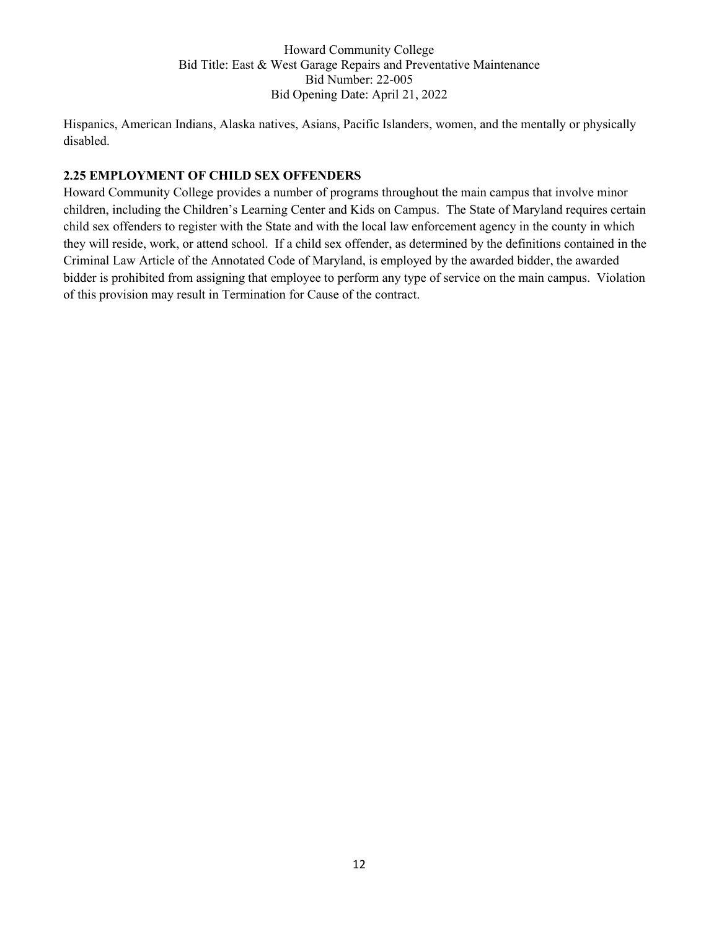Hispanics, American Indians, Alaska natives, Asians, Pacific Islanders, women, and the mentally or physically disabled.

### **2.25 EMPLOYMENT OF CHILD SEX OFFENDERS**

Howard Community College provides a number of programs throughout the main campus that involve minor children, including the Children's Learning Center and Kids on Campus. The State of Maryland requires certain child sex offenders to register with the State and with the local law enforcement agency in the county in which they will reside, work, or attend school. If a child sex offender, as determined by the definitions contained in the Criminal Law Article of the Annotated Code of Maryland, is employed by the awarded bidder, the awarded bidder is prohibited from assigning that employee to perform any type of service on the main campus. Violation of this provision may result in Termination for Cause of the contract.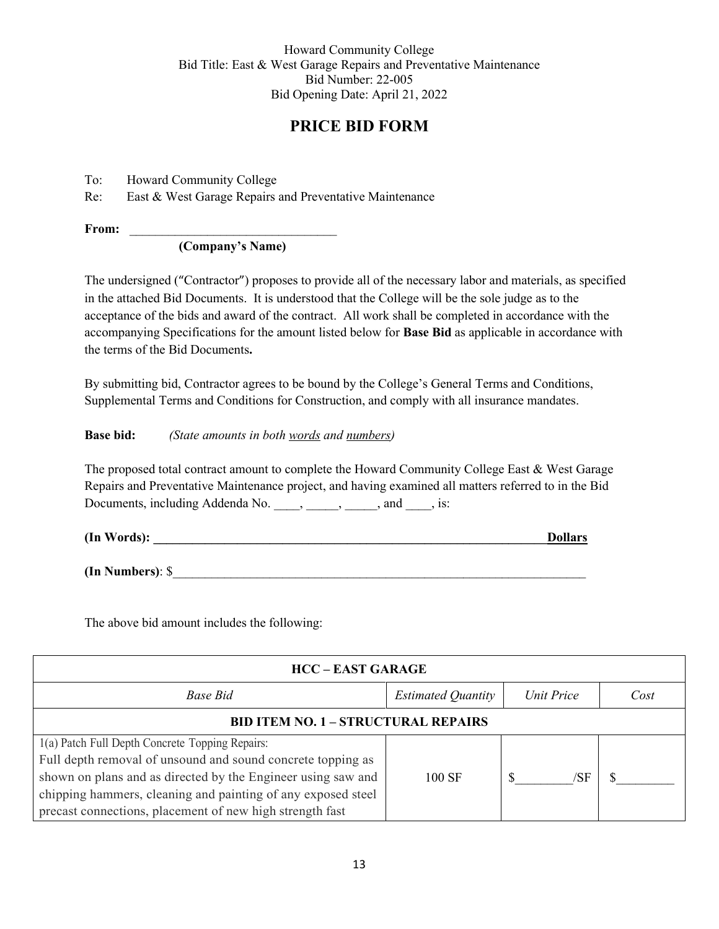# **PRICE BID FORM**

To: Howard Community College

Re: East & West Garage Repairs and Preventative Maintenance

**From:** \_\_\_\_\_\_\_\_\_\_\_\_\_\_\_\_\_\_\_\_\_\_\_\_\_\_\_\_\_\_\_\_

**(Company's Name)**

The undersigned ("Contractor") proposes to provide all of the necessary labor and materials, as specified in the attached Bid Documents. It is understood that the College will be the sole judge as to the acceptance of the bids and award of the contract. All work shall be completed in accordance with the accompanying Specifications for the amount listed below for **Base Bid** as applicable in accordance with the terms of the Bid Documents**.**

By submitting bid, Contractor agrees to be bound by the College's General Terms and Conditions, Supplemental Terms and Conditions for Construction, and comply with all insurance mandates.

#### **Base bid:** *(State amounts in both words and numbers)*

The proposed total contract amount to complete the Howard Community College East & West Garage Repairs and Preventative Maintenance project, and having examined all matters referred to in the Bid Documents, including Addenda No. \_\_\_\_, \_\_\_\_, \_\_\_\_, and \_\_\_\_, is:

| (In Words): | <b>Dollars</b> |
|-------------|----------------|
|-------------|----------------|

**(In Numbers)**: \$\_\_\_\_\_\_\_\_\_\_\_\_\_\_\_\_\_\_\_\_\_\_\_\_\_\_\_\_\_\_\_\_\_\_\_\_\_\_\_\_\_\_\_\_\_\_\_\_\_\_\_\_\_\_\_\_\_\_\_\_\_\_\_\_

The above bid amount includes the following:

| <b>HCC – EAST GARAGE</b>                                                                                                                                                                                                                                                                                   |                           |            |      |
|------------------------------------------------------------------------------------------------------------------------------------------------------------------------------------------------------------------------------------------------------------------------------------------------------------|---------------------------|------------|------|
| Base Bid                                                                                                                                                                                                                                                                                                   | <b>Estimated Quantity</b> | Unit Price | Cost |
| <b>BID ITEM NO. 1 - STRUCTURAL REPAIRS</b>                                                                                                                                                                                                                                                                 |                           |            |      |
| 1(a) Patch Full Depth Concrete Topping Repairs:<br>Full depth removal of unsound and sound concrete topping as<br>shown on plans and as directed by the Engineer using saw and<br>chipping hammers, cleaning and painting of any exposed steel<br>precast connections, placement of new high strength fast | 100 SF                    | /SF        |      |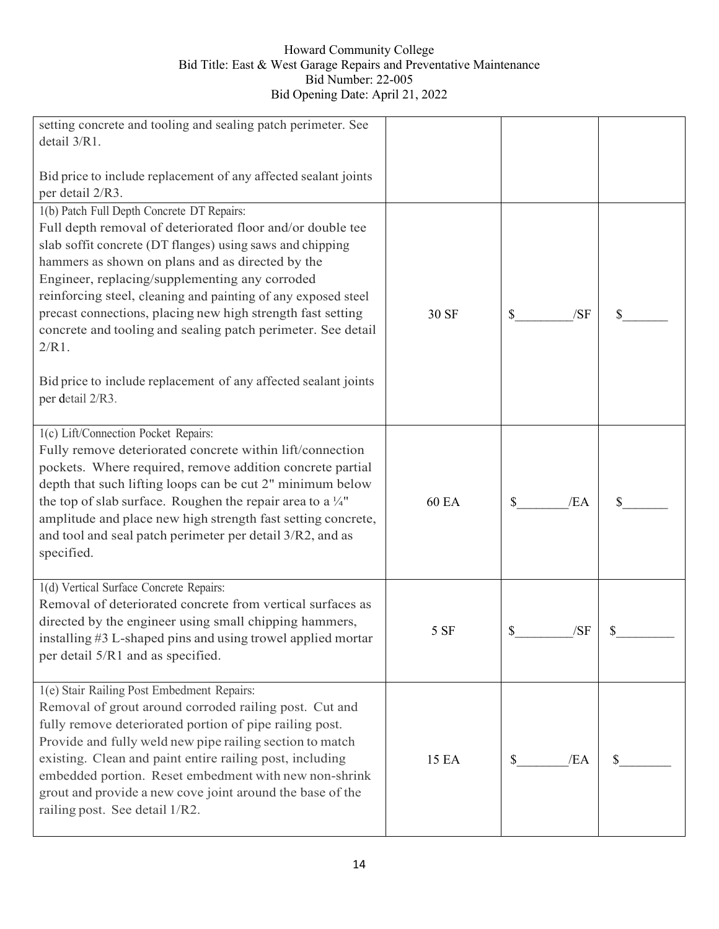| setting concrete and tooling and sealing patch perimeter. See<br>detail 3/R1.                                                                                                                                                                                                                                                                                                                                                                                                                                                                                                  |              |           |    |
|--------------------------------------------------------------------------------------------------------------------------------------------------------------------------------------------------------------------------------------------------------------------------------------------------------------------------------------------------------------------------------------------------------------------------------------------------------------------------------------------------------------------------------------------------------------------------------|--------------|-----------|----|
| Bid price to include replacement of any affected sealant joints<br>per detail 2/R3.                                                                                                                                                                                                                                                                                                                                                                                                                                                                                            |              |           |    |
| 1(b) Patch Full Depth Concrete DT Repairs:<br>Full depth removal of deteriorated floor and/or double tee<br>slab soffit concrete (DT flanges) using saws and chipping<br>hammers as shown on plans and as directed by the<br>Engineer, replacing/supplementing any corroded<br>reinforcing steel, cleaning and painting of any exposed steel<br>precast connections, placing new high strength fast setting<br>concrete and tooling and sealing patch perimeter. See detail<br>$2/R1$ .<br>Bid price to include replacement of any affected sealant joints<br>per detail 2/R3. | 30 SF        | \$<br>/SF |    |
| 1(c) Lift/Connection Pocket Repairs:<br>Fully remove deteriorated concrete within lift/connection<br>pockets. Where required, remove addition concrete partial<br>depth that such lifting loops can be cut 2" minimum below<br>the top of slab surface. Roughen the repair area to a $\frac{1}{4}$ "<br>amplitude and place new high strength fast setting concrete,<br>and tool and seal patch perimeter per detail 3/R2, and as<br>specified.                                                                                                                                | <b>60 EA</b> | /EA<br>S  | \$ |
| 1(d) Vertical Surface Concrete Repairs:<br>Removal of deteriorated concrete from vertical surfaces as<br>directed by the engineer using small chipping hammers,<br>installing #3 L-shaped pins and using trowel applied mortar<br>per detail 5/R1 and as specified.                                                                                                                                                                                                                                                                                                            | 5 SF         | \$<br>/SF | \$ |
| 1(e) Stair Railing Post Embedment Repairs:<br>Removal of grout around corroded railing post. Cut and<br>fully remove deteriorated portion of pipe railing post.<br>Provide and fully weld new pipe railing section to match<br>existing. Clean and paint entire railing post, including<br>embedded portion. Reset embedment with new non-shrink<br>grout and provide a new cove joint around the base of the<br>railing post. See detail 1/R2.                                                                                                                                | 15 EA        | /EA<br>\$ | \$ |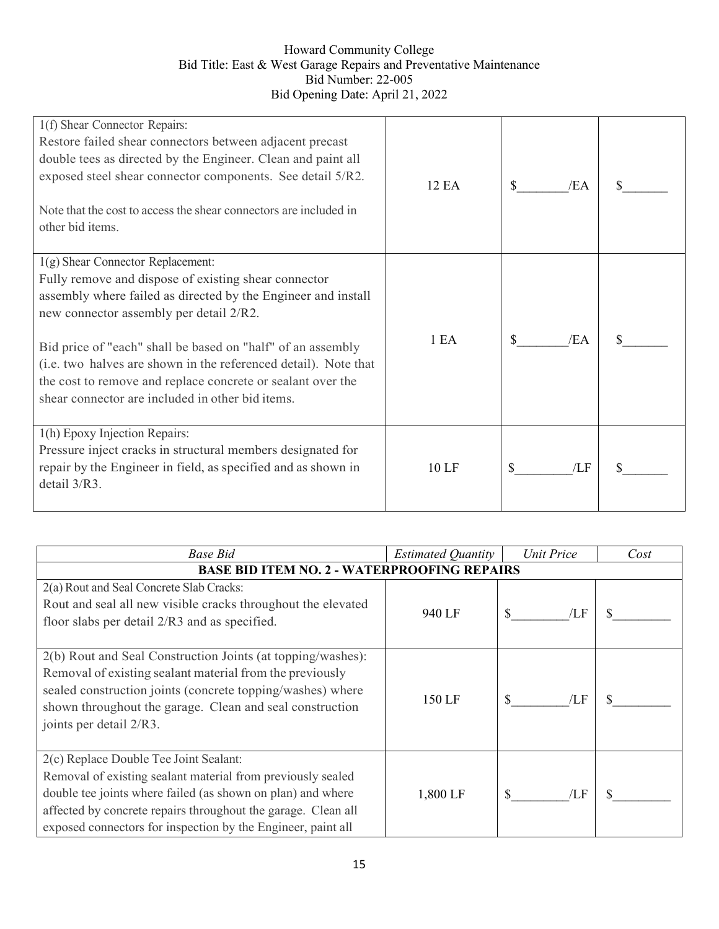| 1(f) Shear Connector Repairs:<br>Restore failed shear connectors between adjacent precast<br>double tees as directed by the Engineer. Clean and paint all<br>exposed steel shear connector components. See detail 5/R2.<br>Note that the cost to access the shear connectors are included in<br>other bid items.                                                                                                                                             | <b>12 EA</b> | /EA |  |
|--------------------------------------------------------------------------------------------------------------------------------------------------------------------------------------------------------------------------------------------------------------------------------------------------------------------------------------------------------------------------------------------------------------------------------------------------------------|--------------|-----|--|
| $1(g)$ Shear Connector Replacement:<br>Fully remove and dispose of existing shear connector<br>assembly where failed as directed by the Engineer and install<br>new connector assembly per detail 2/R2.<br>Bid price of "each" shall be based on "half" of an assembly<br>(i.e. two halves are shown in the referenced detail). Note that<br>the cost to remove and replace concrete or sealant over the<br>shear connector are included in other bid items. | 1 EA         | /EA |  |
| 1(h) Epoxy Injection Repairs:<br>Pressure inject cracks in structural members designated for<br>repair by the Engineer in field, as specified and as shown in<br>detail $3/R3$ .                                                                                                                                                                                                                                                                             | 10LF         | /LF |  |

| <b>Base Bid</b>                                                                                                                                                                                                                                                                                       | <b>Estimated Quantity</b> | Unit Price | Cost |  |
|-------------------------------------------------------------------------------------------------------------------------------------------------------------------------------------------------------------------------------------------------------------------------------------------------------|---------------------------|------------|------|--|
| <b>BASE BID ITEM NO. 2 - WATERPROOFING REPAIRS</b>                                                                                                                                                                                                                                                    |                           |            |      |  |
| 2(a) Rout and Seal Concrete Slab Cracks:<br>Rout and seal all new visible cracks throughout the elevated<br>floor slabs per detail 2/R3 and as specified.                                                                                                                                             | 940 LF                    | /LF        |      |  |
| 2(b) Rout and Seal Construction Joints (at topping/washes):<br>Removal of existing sealant material from the previously<br>sealed construction joints (concrete topping/washes) where<br>shown throughout the garage. Clean and seal construction<br>joints per detail 2/R3.                          | 150 LF                    | /LF        |      |  |
| 2(c) Replace Double Tee Joint Sealant:<br>Removal of existing sealant material from previously sealed<br>double tee joints where failed (as shown on plan) and where<br>affected by concrete repairs throughout the garage. Clean all<br>exposed connectors for inspection by the Engineer, paint all | 1,800 LF                  | /LF        |      |  |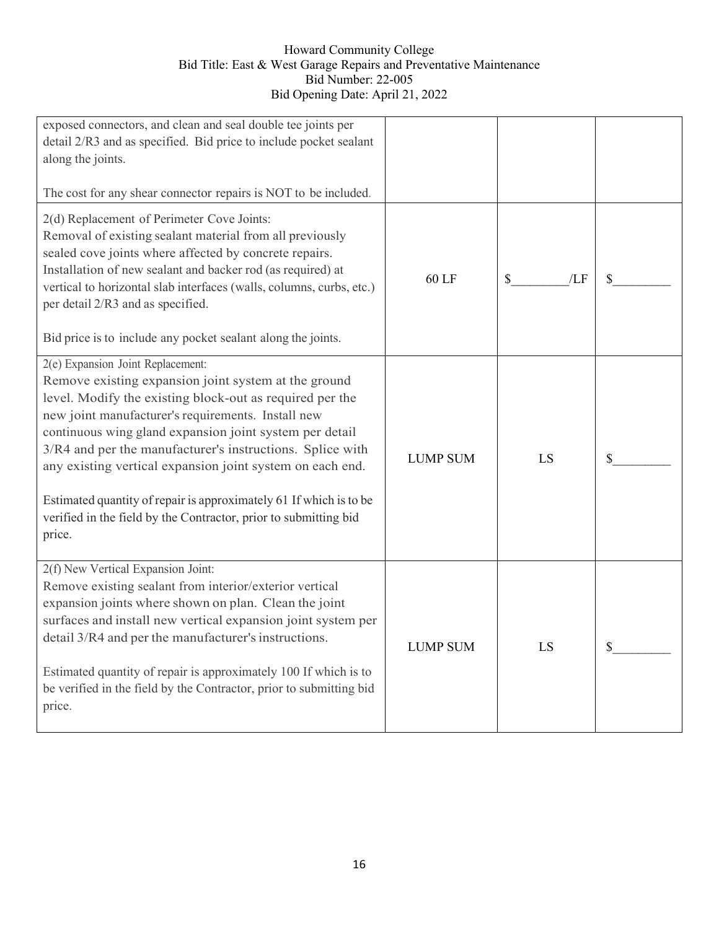| exposed connectors, and clean and seal double tee joints per<br>detail 2/R3 and as specified. Bid price to include pocket sealant<br>along the joints.                                                                                                                                                                                                                                                                                                                                                          |                 |           |    |
|-----------------------------------------------------------------------------------------------------------------------------------------------------------------------------------------------------------------------------------------------------------------------------------------------------------------------------------------------------------------------------------------------------------------------------------------------------------------------------------------------------------------|-----------------|-----------|----|
| The cost for any shear connector repairs is NOT to be included.                                                                                                                                                                                                                                                                                                                                                                                                                                                 |                 |           |    |
| 2(d) Replacement of Perimeter Cove Joints:<br>Removal of existing sealant material from all previously<br>sealed cove joints where affected by concrete repairs.<br>Installation of new sealant and backer rod (as required) at<br>vertical to horizontal slab interfaces (walls, columns, curbs, etc.)<br>per detail 2/R3 and as specified.<br>Bid price is to include any pocket sealant along the joints.                                                                                                    | 60 LF           | /LF<br>\$ | \$ |
| 2(e) Expansion Joint Replacement:                                                                                                                                                                                                                                                                                                                                                                                                                                                                               |                 |           |    |
| Remove existing expansion joint system at the ground<br>level. Modify the existing block-out as required per the<br>new joint manufacturer's requirements. Install new<br>continuous wing gland expansion joint system per detail<br>3/R4 and per the manufacturer's instructions. Splice with<br>any existing vertical expansion joint system on each end.<br>Estimated quantity of repair is approximately 61 If which is to be<br>verified in the field by the Contractor, prior to submitting bid<br>price. | <b>LUMP SUM</b> | LS        | \$ |
| 2(f) New Vertical Expansion Joint:<br>Remove existing sealant from interior/exterior vertical<br>expansion joints where shown on plan. Clean the joint<br>surfaces and install new vertical expansion joint system per<br>detail 3/R4 and per the manufacturer's instructions.<br>Estimated quantity of repair is approximately 100 If which is to<br>be verified in the field by the Contractor, prior to submitting bid<br>price.                                                                             | <b>LUMP SUM</b> | LS        | \$ |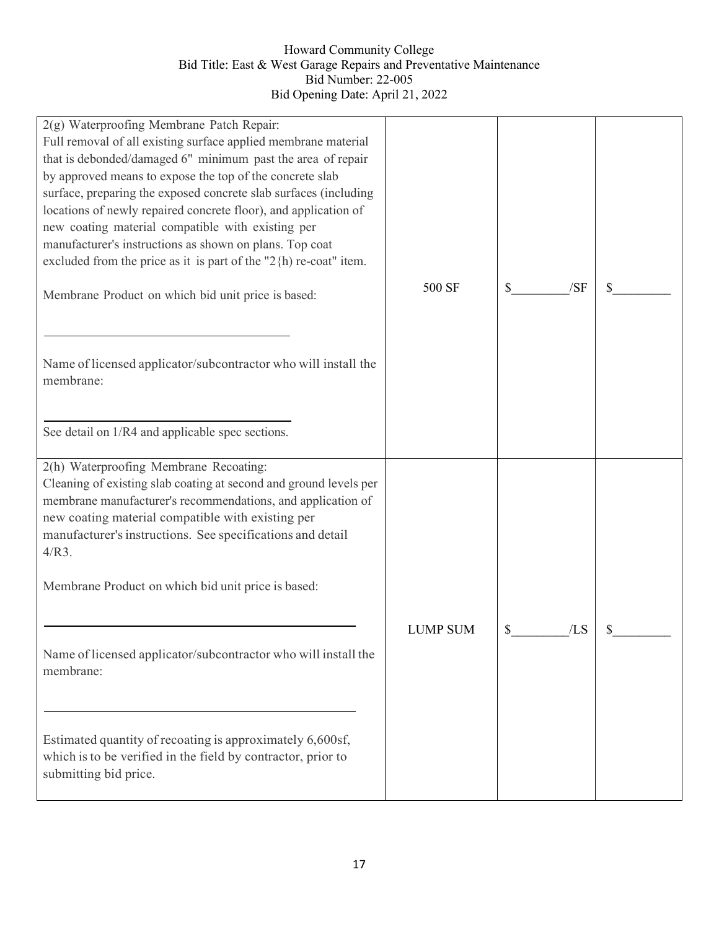| 2(g) Waterproofing Membrane Patch Repair:<br>Full removal of all existing surface applied membrane material<br>that is debonded/damaged 6" minimum past the area of repair<br>by approved means to expose the top of the concrete slab<br>surface, preparing the exposed concrete slab surfaces (including<br>locations of newly repaired concrete floor), and application of<br>new coating material compatible with existing per<br>manufacturer's instructions as shown on plans. Top coat<br>excluded from the price as it is part of the " $2 \{ h \}$ re-coat" item. |                 | /SF       |    |
|----------------------------------------------------------------------------------------------------------------------------------------------------------------------------------------------------------------------------------------------------------------------------------------------------------------------------------------------------------------------------------------------------------------------------------------------------------------------------------------------------------------------------------------------------------------------------|-----------------|-----------|----|
| Membrane Product on which bid unit price is based:<br>Name of licensed applicator/subcontractor who will install the<br>membrane:                                                                                                                                                                                                                                                                                                                                                                                                                                          | 500 SF          | \$        | \$ |
| See detail on 1/R4 and applicable spec sections.                                                                                                                                                                                                                                                                                                                                                                                                                                                                                                                           |                 |           |    |
| 2(h) Waterproofing Membrane Recoating:<br>Cleaning of existing slab coating at second and ground levels per<br>membrane manufacturer's recommendations, and application of<br>new coating material compatible with existing per<br>manufacturer's instructions. See specifications and detail<br>$4/R3$ .<br>Membrane Product on which bid unit price is based:                                                                                                                                                                                                            |                 |           |    |
| Name of licensed applicator/subcontractor who will install the<br>membrane:                                                                                                                                                                                                                                                                                                                                                                                                                                                                                                | <b>LUMP SUM</b> | \$<br>/LS | \$ |
| Estimated quantity of recoating is approximately 6,600sf,<br>which is to be verified in the field by contractor, prior to<br>submitting bid price.                                                                                                                                                                                                                                                                                                                                                                                                                         |                 |           |    |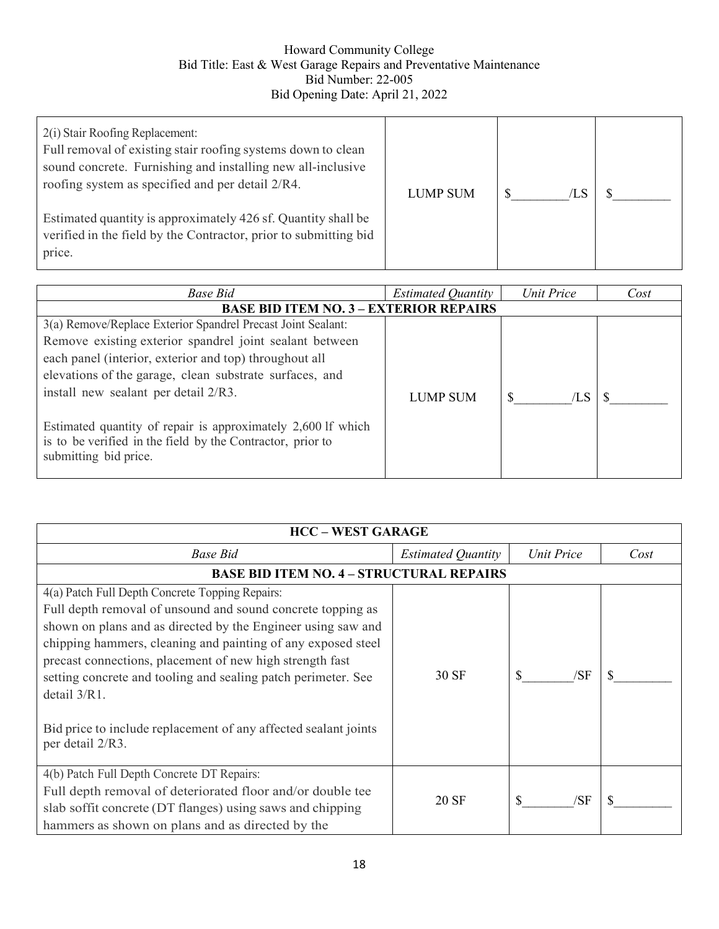| 2(i) Stair Roofing Replacement:<br>Full removal of existing stair roofing systems down to clean<br>sound concrete. Furnishing and installing new all-inclusive<br>roofing system as specified and per detail 2/R4. | LUMP SUM | /LS |  |
|--------------------------------------------------------------------------------------------------------------------------------------------------------------------------------------------------------------------|----------|-----|--|
| Estimated quantity is approximately 426 sf. Quantity shall be<br>verified in the field by the Contractor, prior to submitting bid<br>price.                                                                        |          |     |  |

| <b>Base Bid</b>                                              | <b>Estimated Quantity</b> | Unit Price | Cost |
|--------------------------------------------------------------|---------------------------|------------|------|
| <b>BASE BID ITEM NO. 3 - EXTERIOR REPAIRS</b>                |                           |            |      |
| 3(a) Remove/Replace Exterior Spandrel Precast Joint Sealant: |                           |            |      |
| Remove existing exterior spandrel joint sealant between      |                           |            |      |
| each panel (interior, exterior and top) throughout all       |                           |            |      |
| elevations of the garage, clean substrate surfaces, and      |                           |            |      |
| install new sealant per detail 2/R3.                         | <b>LUMP SUM</b>           | /LS        |      |
|                                                              |                           |            |      |
| Estimated quantity of repair is approximately 2,600 lf which |                           |            |      |
| is to be verified in the field by the Contractor, prior to   |                           |            |      |
| submitting bid price.                                        |                           |            |      |

| <b>HCC - WEST GARAGE</b>                                        |                                                 |            |      |  |  |
|-----------------------------------------------------------------|-------------------------------------------------|------------|------|--|--|
| Base Bid                                                        | <b>Estimated Quantity</b>                       | Unit Price | Cost |  |  |
|                                                                 | <b>BASE BID ITEM NO. 4 - STRUCTURAL REPAIRS</b> |            |      |  |  |
| 4(a) Patch Full Depth Concrete Topping Repairs:                 |                                                 |            |      |  |  |
| Full depth removal of unsound and sound concrete topping as     |                                                 |            |      |  |  |
| shown on plans and as directed by the Engineer using saw and    |                                                 |            |      |  |  |
| chipping hammers, cleaning and painting of any exposed steel    |                                                 |            |      |  |  |
| precast connections, placement of new high strength fast        |                                                 |            |      |  |  |
| setting concrete and tooling and sealing patch perimeter. See   | 30 SF                                           | /SF        |      |  |  |
| detail 3/R1.                                                    |                                                 |            |      |  |  |
| Bid price to include replacement of any affected sealant joints |                                                 |            |      |  |  |
| per detail 2/R3.                                                |                                                 |            |      |  |  |
| 4(b) Patch Full Depth Concrete DT Repairs:                      |                                                 |            |      |  |  |
| Full depth removal of deteriorated floor and/or double tee      | 20 SF                                           | /SF<br>S   | S    |  |  |
| slab soffit concrete (DT flanges) using saws and chipping       |                                                 |            |      |  |  |
| hammers as shown on plans and as directed by the                |                                                 |            |      |  |  |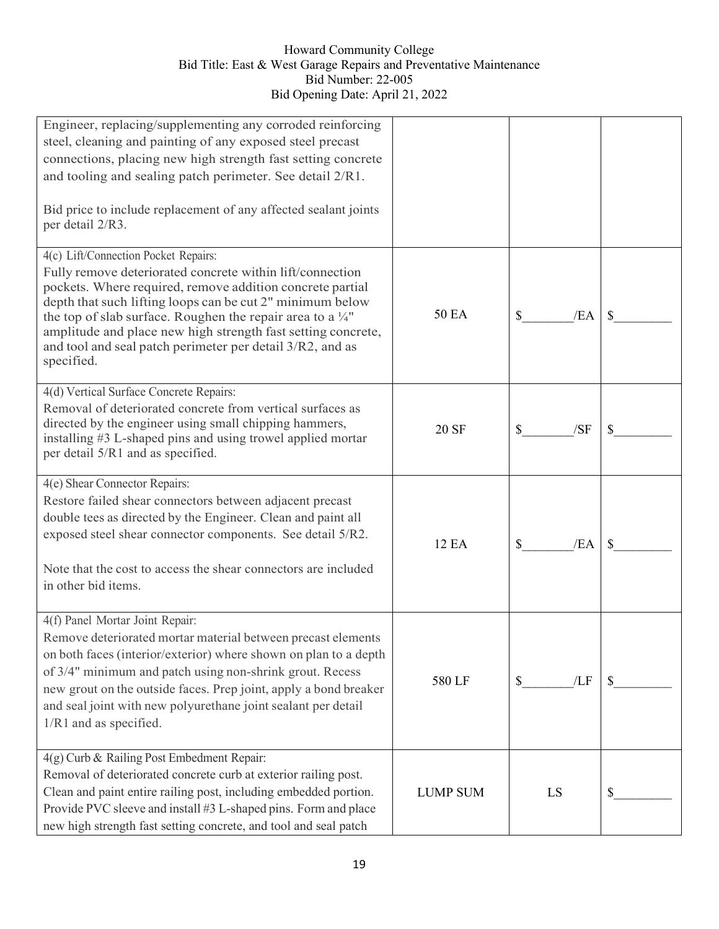| Engineer, replacing/supplementing any corroded reinforcing<br>steel, cleaning and painting of any exposed steel precast<br>connections, placing new high strength fast setting concrete                                                                                                                                                                                                                                                         |                 |           |    |
|-------------------------------------------------------------------------------------------------------------------------------------------------------------------------------------------------------------------------------------------------------------------------------------------------------------------------------------------------------------------------------------------------------------------------------------------------|-----------------|-----------|----|
| and tooling and sealing patch perimeter. See detail 2/R1.<br>Bid price to include replacement of any affected sealant joints<br>per detail 2/R3.                                                                                                                                                                                                                                                                                                |                 |           |    |
| 4(c) Lift/Connection Pocket Repairs:<br>Fully remove deteriorated concrete within lift/connection<br>pockets. Where required, remove addition concrete partial<br>depth that such lifting loops can be cut 2" minimum below<br>the top of slab surface. Roughen the repair area to a $\frac{1}{4}$ "<br>amplitude and place new high strength fast setting concrete,<br>and tool and seal patch perimeter per detail 3/R2, and as<br>specified. | <b>50 EA</b>    | \$<br>/EA |    |
| 4(d) Vertical Surface Concrete Repairs:<br>Removal of deteriorated concrete from vertical surfaces as<br>directed by the engineer using small chipping hammers,<br>installing #3 L-shaped pins and using trowel applied mortar<br>per detail 5/R1 and as specified.                                                                                                                                                                             | 20 SF           | /SF<br>\$ |    |
| 4(e) Shear Connector Repairs:<br>Restore failed shear connectors between adjacent precast<br>double tees as directed by the Engineer. Clean and paint all<br>exposed steel shear connector components. See detail 5/R2.<br>Note that the cost to access the shear connectors are included<br>in other bid items.                                                                                                                                | 12 EA           | \$<br>/EA |    |
| 4(f) Panel Mortar Joint Repair:<br>Remove deteriorated mortar material between precast elements<br>on both faces (interior/exterior) where shown on plan to a depth<br>of 3/4" minimum and patch using non-shrink grout. Recess<br>new grout on the outside faces. Prep joint, apply a bond breaker<br>and seal joint with new polyurethane joint sealant per detail<br>1/R1 and as specified.                                                  | 580 LF          | /LF<br>\$ |    |
| 4(g) Curb & Railing Post Embedment Repair:<br>Removal of deteriorated concrete curb at exterior railing post.<br>Clean and paint entire railing post, including embedded portion.<br>Provide PVC sleeve and install #3 L-shaped pins. Form and place<br>new high strength fast setting concrete, and tool and seal patch                                                                                                                        | <b>LUMP SUM</b> | LS        | \$ |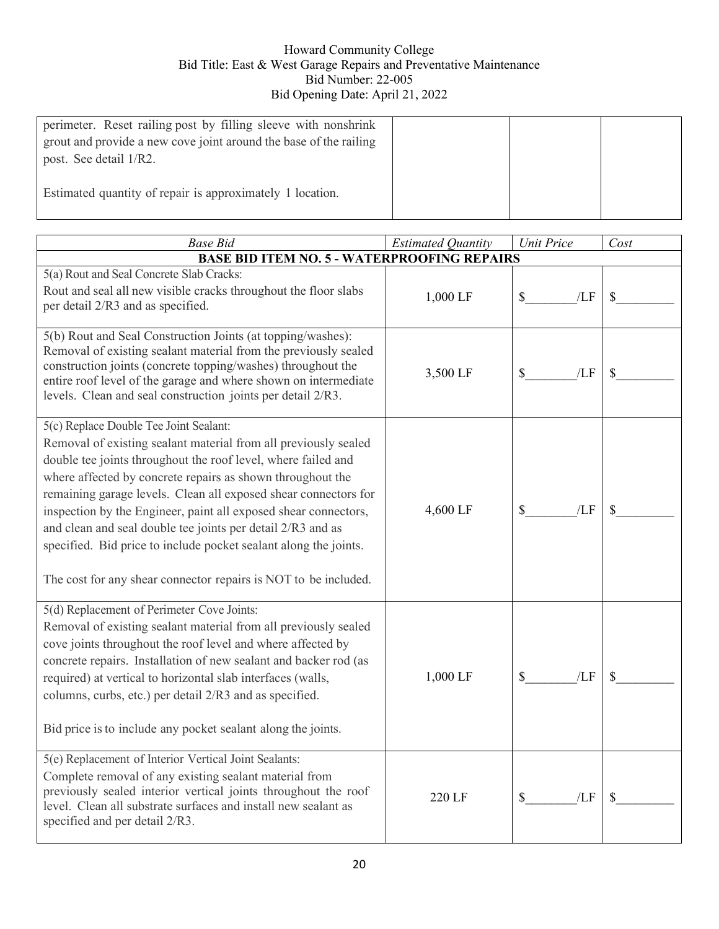| perimeter. Reset railing post by filling sleeve with nonshrink<br>grout and provide a new cove joint around the base of the railing<br>post. See detail 1/R2. |  |  |
|---------------------------------------------------------------------------------------------------------------------------------------------------------------|--|--|
| Estimated quantity of repair is approximately 1 location.                                                                                                     |  |  |

| <b>Base Bid</b>                                                                                                                                                                                                                                                                                                                                                                                                                                                                                                                                                                      | <b>Estimated Quantity</b> | <b>Unit Price</b>   | Cost |
|--------------------------------------------------------------------------------------------------------------------------------------------------------------------------------------------------------------------------------------------------------------------------------------------------------------------------------------------------------------------------------------------------------------------------------------------------------------------------------------------------------------------------------------------------------------------------------------|---------------------------|---------------------|------|
| <b>BASE BID ITEM NO. 5 - WATERPROOFING REPAIRS</b>                                                                                                                                                                                                                                                                                                                                                                                                                                                                                                                                   |                           |                     |      |
| 5(a) Rout and Seal Concrete Slab Cracks:<br>Rout and seal all new visible cracks throughout the floor slabs<br>per detail 2/R3 and as specified.                                                                                                                                                                                                                                                                                                                                                                                                                                     | 1,000 LF                  | $\mathbb{S}$<br>/LF |      |
| 5(b) Rout and Seal Construction Joints (at topping/washes):<br>Removal of existing sealant material from the previously sealed<br>construction joints (concrete topping/washes) throughout the<br>entire roof level of the garage and where shown on intermediate<br>levels. Clean and seal construction joints per detail 2/R3.                                                                                                                                                                                                                                                     | 3,500 LF                  | \$<br>/LF           |      |
| 5(c) Replace Double Tee Joint Sealant:<br>Removal of existing sealant material from all previously sealed<br>double tee joints throughout the roof level, where failed and<br>where affected by concrete repairs as shown throughout the<br>remaining garage levels. Clean all exposed shear connectors for<br>inspection by the Engineer, paint all exposed shear connectors,<br>and clean and seal double tee joints per detail 2/R3 and as<br>specified. Bid price to include pocket sealant along the joints.<br>The cost for any shear connector repairs is NOT to be included. | 4,600 LF                  | $\$$<br>/LF         |      |
| 5(d) Replacement of Perimeter Cove Joints:<br>Removal of existing sealant material from all previously sealed<br>cove joints throughout the roof level and where affected by<br>concrete repairs. Installation of new sealant and backer rod (as<br>required) at vertical to horizontal slab interfaces (walls,<br>columns, curbs, etc.) per detail 2/R3 and as specified.<br>Bid price is to include any pocket sealant along the joints.                                                                                                                                           | 1,000 LF                  | /LF<br>\$           |      |
| 5(e) Replacement of Interior Vertical Joint Sealants:<br>Complete removal of any existing sealant material from<br>previously sealed interior vertical joints throughout the roof<br>level. Clean all substrate surfaces and install new sealant as<br>specified and per detail 2/R3.                                                                                                                                                                                                                                                                                                | 220 LF                    | \$<br>/LF           |      |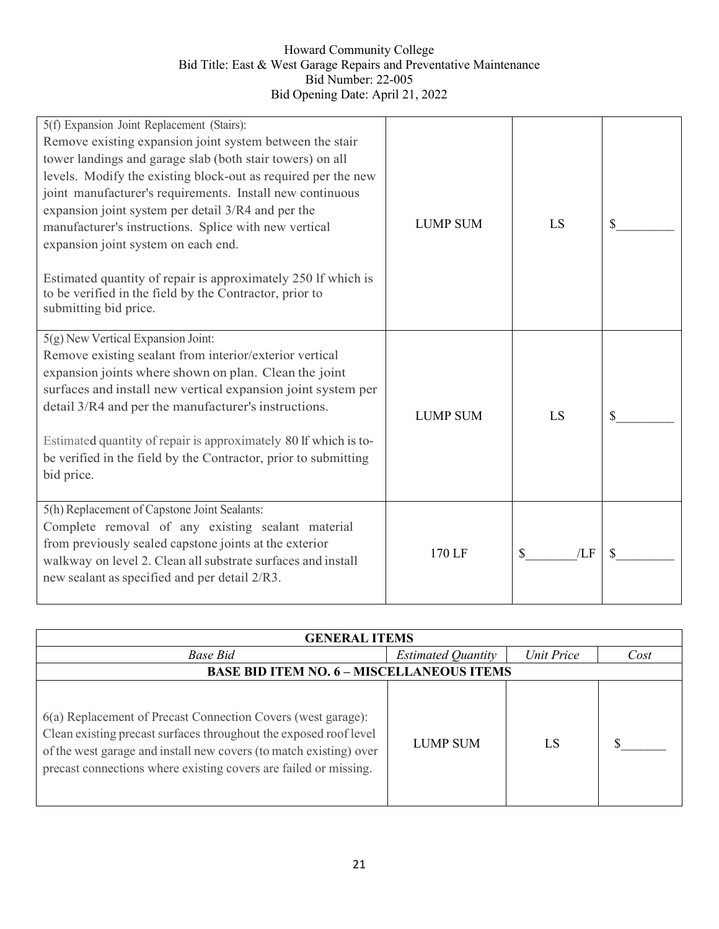| 5(f) Expansion Joint Replacement (Stairs):<br>Remove existing expansion joint system between the stair<br>tower landings and garage slab (both stair towers) on all<br>levels. Modify the existing block-out as required per the new<br>joint manufacturer's requirements. Install new continuous<br>expansion joint system per detail 3/R4 and per the<br>manufacturer's instructions. Splice with new vertical<br>expansion joint system on each end. | <b>LUMP SUM</b> | LS        |  |
|---------------------------------------------------------------------------------------------------------------------------------------------------------------------------------------------------------------------------------------------------------------------------------------------------------------------------------------------------------------------------------------------------------------------------------------------------------|-----------------|-----------|--|
| Estimated quantity of repair is approximately 250 lf which is<br>to be verified in the field by the Contractor, prior to<br>submitting bid price.                                                                                                                                                                                                                                                                                                       |                 |           |  |
| $5(g)$ New Vertical Expansion Joint:                                                                                                                                                                                                                                                                                                                                                                                                                    |                 |           |  |
| Remove existing sealant from interior/exterior vertical<br>expansion joints where shown on plan. Clean the joint<br>surfaces and install new vertical expansion joint system per<br>detail 3/R4 and per the manufacturer's instructions.<br>Estimated quantity of repair is approximately 80 lf which is to-<br>be verified in the field by the Contractor, prior to submitting                                                                         | <b>LUMP SUM</b> | LS        |  |
| bid price.                                                                                                                                                                                                                                                                                                                                                                                                                                              |                 |           |  |
| 5(h) Replacement of Capstone Joint Sealants:<br>Complete removal of any existing sealant material<br>from previously sealed capstone joints at the exterior<br>walkway on level 2. Clean all substrate surfaces and install<br>new sealant as specified and per detail 2/R3.                                                                                                                                                                            | 170 LF          | \$<br>/LF |  |

| <b>GENERAL ITEMS</b>                                                                                                                                                                                                                                                        |                           |                   |      |  |
|-----------------------------------------------------------------------------------------------------------------------------------------------------------------------------------------------------------------------------------------------------------------------------|---------------------------|-------------------|------|--|
| <b>Base Bid</b>                                                                                                                                                                                                                                                             | <b>Estimated Quantity</b> | <b>Unit Price</b> | Cost |  |
| <b>BASE BID ITEM NO. 6 - MISCELLANEOUS ITEMS</b>                                                                                                                                                                                                                            |                           |                   |      |  |
| 6(a) Replacement of Precast Connection Covers (west garage):<br>Clean existing precast surfaces throughout the exposed roof level<br>of the west garage and install new covers (to match existing) over<br>precast connections where existing covers are failed or missing. | <b>LUMP SUM</b>           | LS                |      |  |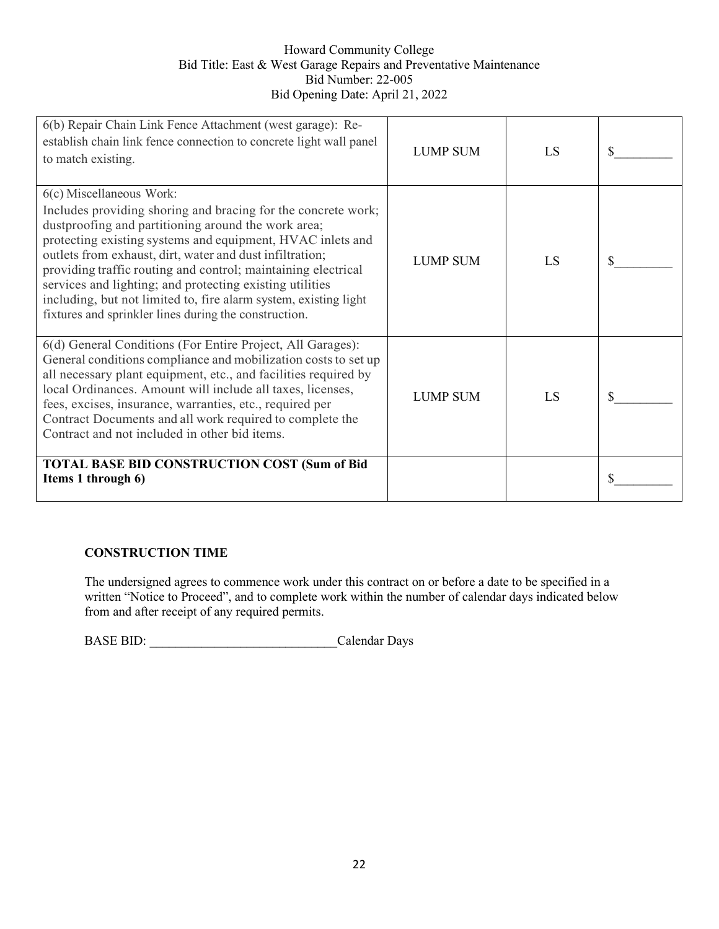| 6(b) Repair Chain Link Fence Attachment (west garage): Re-<br>establish chain link fence connection to concrete light wall panel<br>to match existing.                                                                                                                                                                                                                                                                                                                                                                               | <b>LUMP SUM</b> | LS | \$ |
|--------------------------------------------------------------------------------------------------------------------------------------------------------------------------------------------------------------------------------------------------------------------------------------------------------------------------------------------------------------------------------------------------------------------------------------------------------------------------------------------------------------------------------------|-----------------|----|----|
| 6(c) Miscellaneous Work:<br>Includes providing shoring and bracing for the concrete work;<br>dustproofing and partitioning around the work area;<br>protecting existing systems and equipment, HVAC inlets and<br>outlets from exhaust, dirt, water and dust infiltration;<br>providing traffic routing and control; maintaining electrical<br>services and lighting; and protecting existing utilities<br>including, but not limited to, fire alarm system, existing light<br>fixtures and sprinkler lines during the construction. | <b>LUMP SUM</b> | LS | \$ |
| 6(d) General Conditions (For Entire Project, All Garages):<br>General conditions compliance and mobilization costs to set up<br>all necessary plant equipment, etc., and facilities required by<br>local Ordinances. Amount will include all taxes, licenses,<br>fees, excises, insurance, warranties, etc., required per<br>Contract Documents and all work required to complete the<br>Contract and not included in other bid items.                                                                                               | <b>LUMP SUM</b> | LS | S  |
| <b>TOTAL BASE BID CONSTRUCTION COST (Sum of Bid</b><br>Items 1 through 6)                                                                                                                                                                                                                                                                                                                                                                                                                                                            |                 |    | S  |

## **CONSTRUCTION TIME**

The undersigned agrees to commence work under this contract on or before a date to be specified in a written "Notice to Proceed", and to complete work within the number of calendar days indicated below from and after receipt of any required permits.

BASE BID: Calendar Days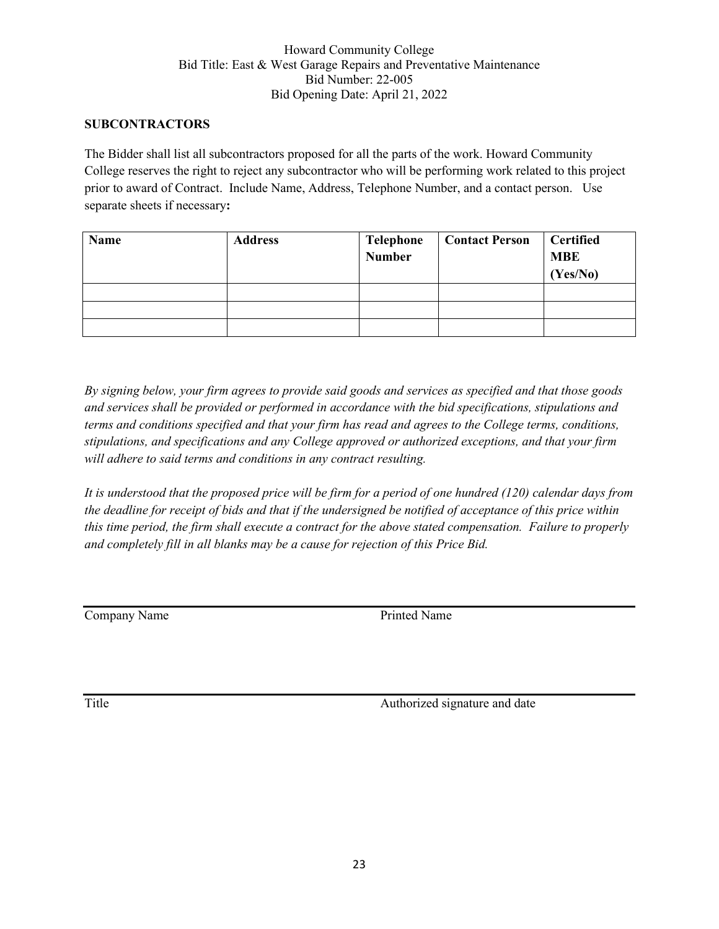#### **SUBCONTRACTORS**

The Bidder shall list all subcontractors proposed for all the parts of the work. Howard Community College reserves the right to reject any subcontractor who will be performing work related to this project prior to award of Contract. Include Name, Address, Telephone Number, and a contact person. Use separate sheets if necessary**:**

| Name | <b>Address</b> | Telephone<br>Number | <b>Contact Person</b> | <b>Certified</b><br><b>MBE</b><br>(Yes/No) |
|------|----------------|---------------------|-----------------------|--------------------------------------------|
|      |                |                     |                       |                                            |
|      |                |                     |                       |                                            |
|      |                |                     |                       |                                            |

*By signing below, your firm agrees to provide said goods and services as specified and that those goods and services shall be provided or performed in accordance with the bid specifications, stipulations and terms and conditions specified and that your firm has read and agrees to the College terms, conditions, stipulations, and specifications and any College approved or authorized exceptions, and that your firm will adhere to said terms and conditions in any contract resulting.*

*It is understood that the proposed price will be firm for a period of one hundred (120) calendar days from the deadline for receipt of bids and that if the undersigned be notified of acceptance of this price within this time period, the firm shall execute a contract for the above stated compensation. Failure to properly and completely fill in all blanks may be a cause for rejection of this Price Bid.*

**Company Name** Printed Name

Title Authorized signature and date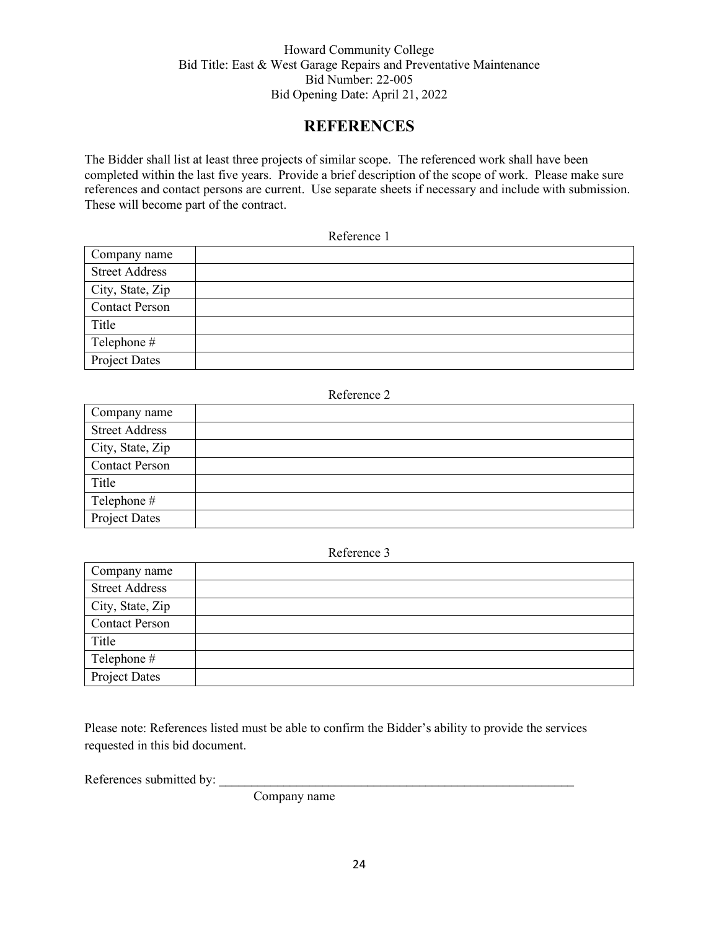# **REFERENCES**

The Bidder shall list at least three projects of similar scope. The referenced work shall have been completed within the last five years. Provide a brief description of the scope of work. Please make sure references and contact persons are current. Use separate sheets if necessary and include with submission. These will become part of the contract.

| Reference 1 |  |
|-------------|--|
|-------------|--|

| Company name          |  |
|-----------------------|--|
| <b>Street Address</b> |  |
| City, State, Zip      |  |
| <b>Contact Person</b> |  |
| Title                 |  |
| Telephone #           |  |
| <b>Project Dates</b>  |  |

#### Reference 2

| Company name          |  |
|-----------------------|--|
| <b>Street Address</b> |  |
| City, State, Zip      |  |
| <b>Contact Person</b> |  |
| Title                 |  |
| Telephone #           |  |
| Project Dates         |  |

#### Reference 3

| Company name          |  |
|-----------------------|--|
| <b>Street Address</b> |  |
| City, State, Zip      |  |
| <b>Contact Person</b> |  |
| Title                 |  |
| Telephone #           |  |
| Project Dates         |  |

Please note: References listed must be able to confirm the Bidder's ability to provide the services requested in this bid document.

References submitted by:

Company name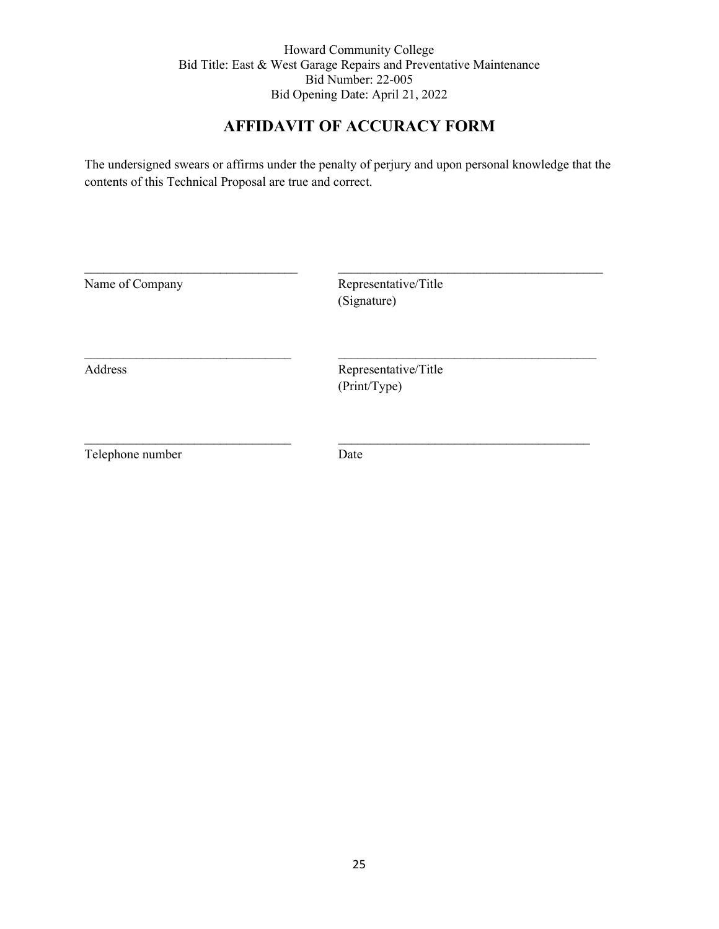# **AFFIDAVIT OF ACCURACY FORM**

The undersigned swears or affirms under the penalty of perjury and upon personal knowledge that the contents of this Technical Proposal are true and correct.

| Name of Company  | Representative/Title<br>(Signature)  |  |
|------------------|--------------------------------------|--|
| Address          | Representative/Title<br>(Print/Type) |  |
| Telephone number | Date                                 |  |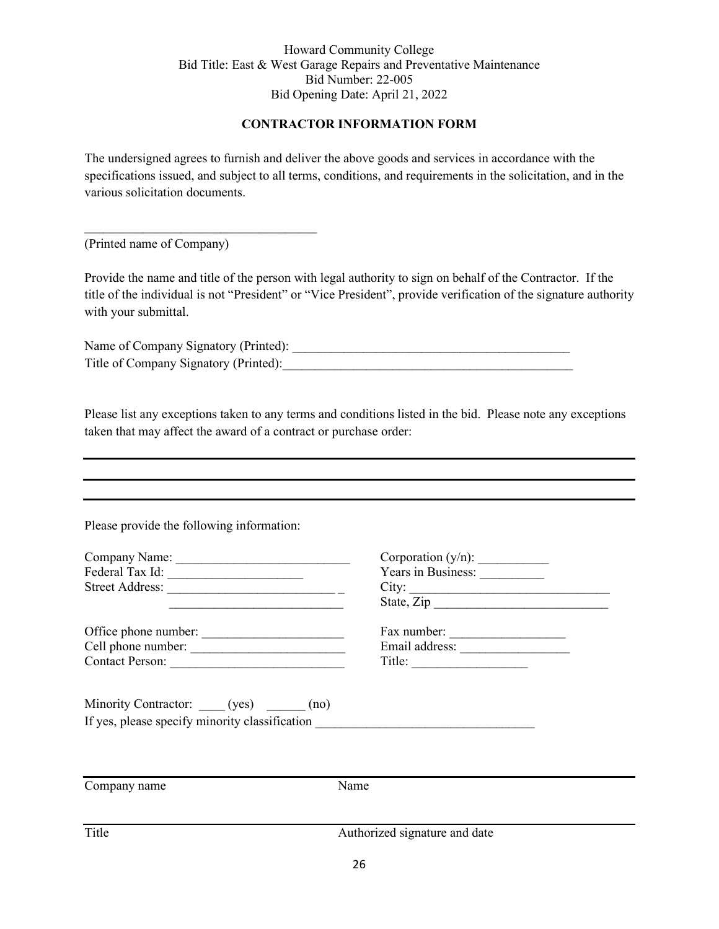#### **CONTRACTOR INFORMATION FORM**

The undersigned agrees to furnish and deliver the above goods and services in accordance with the specifications issued, and subject to all terms, conditions, and requirements in the solicitation, and in the various solicitation documents.

(Printed name of Company)

 $\mathcal{L}_\text{max}$  , where  $\mathcal{L}_\text{max}$  and  $\mathcal{L}_\text{max}$  and  $\mathcal{L}_\text{max}$ 

Provide the name and title of the person with legal authority to sign on behalf of the Contractor. If the title of the individual is not "President" or "Vice President", provide verification of the signature authority with your submittal.

Name of Company Signatory (Printed): \_\_\_\_\_\_\_\_\_\_\_\_\_\_\_\_\_\_\_\_\_\_\_\_\_\_\_\_\_\_\_\_\_\_\_\_\_\_\_\_\_\_\_ Title of Company Signatory (Printed):

Please list any exceptions taken to any terms and conditions listed in the bid. Please note any exceptions taken that may affect the award of a contract or purchase order:

Please provide the following information:

| Company Name:   | Corporation $(y/n)$ : |
|-----------------|-----------------------|
| Federal Tax Id: | Years in Business:    |
| Street Address: | City <sup>·</sup>     |
|                 | $\sim$ $\sim$         |

Office phone number: \_\_\_\_\_\_\_\_\_\_\_\_\_\_\_\_\_\_\_\_\_\_ Fax number: \_\_\_\_\_\_\_\_\_\_\_\_\_\_\_\_\_\_  $Cell$  phone number:  $\frac{1}{\sqrt{1-\frac{1}{2}}}\$ Contact Person: \_\_\_\_\_\_\_\_\_\_\_\_\_\_\_\_\_\_\_\_\_\_\_\_\_\_\_ Title: \_\_\_\_\_\_\_\_\_\_\_\_\_\_\_\_\_\_

| Corporation $(y/n)$ : |
|-----------------------|
| Years in Business:    |
| City:                 |
| State, Zip            |
|                       |

| Fax number:    |  |
|----------------|--|
| Email address: |  |
| Title:         |  |

Minority Contractor: (yes) \_\_\_\_\_\_ (no) If yes, please specify minority classification \_\_\_\_\_\_\_\_\_\_\_\_\_\_\_\_\_\_\_\_\_\_\_\_\_\_\_\_\_\_\_\_\_

Company name Name Title Authorized signature and date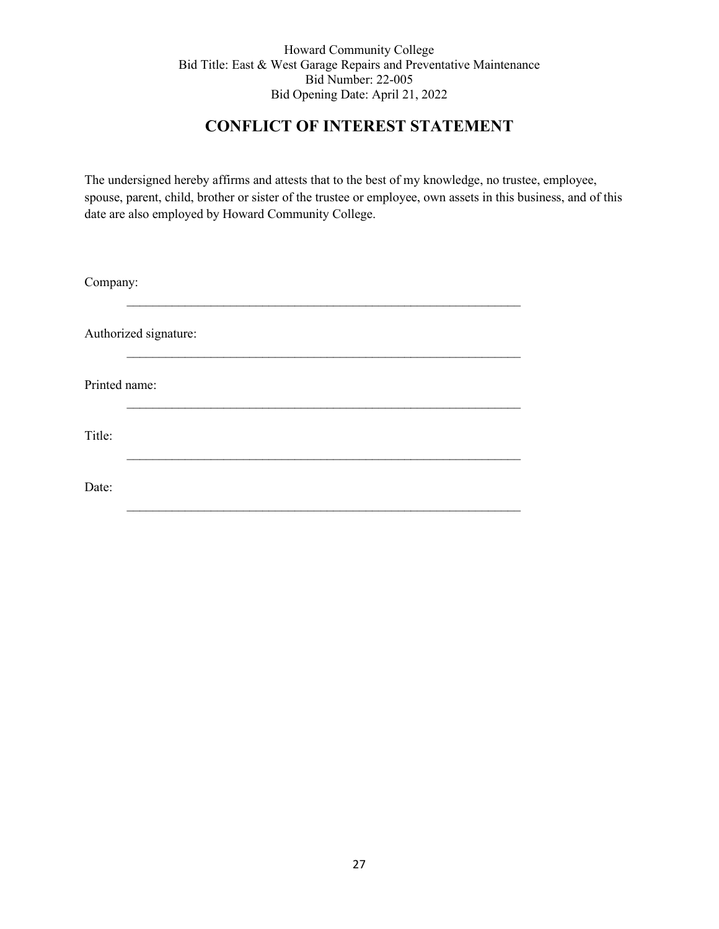# **CONFLICT OF INTEREST STATEMENT**

The undersigned hereby affirms and attests that to the best of my knowledge, no trustee, employee, spouse, parent, child, brother or sister of the trustee or employee, own assets in this business, and of this date are also employed by Howard Community College.

| Company:      |                       |  |  |  |  |  |
|---------------|-----------------------|--|--|--|--|--|
|               | Authorized signature: |  |  |  |  |  |
| Printed name: |                       |  |  |  |  |  |
| Title:        |                       |  |  |  |  |  |
| Date:         |                       |  |  |  |  |  |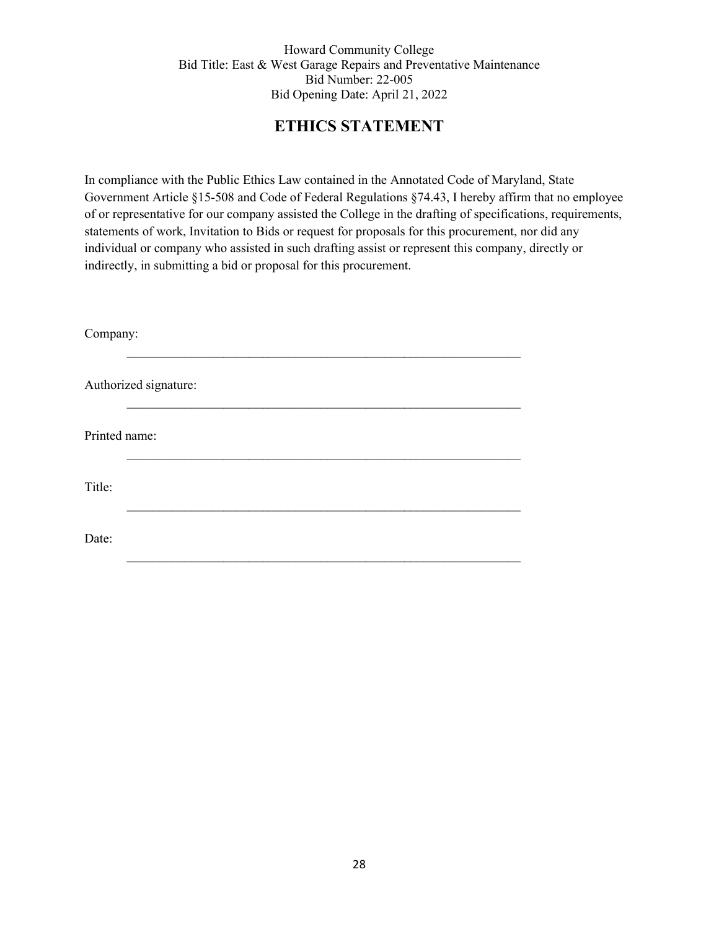# **ETHICS STATEMENT**

In compliance with the Public Ethics Law contained in the Annotated Code of Maryland, State Government Article §15-508 and Code of Federal Regulations §74.43, I hereby affirm that no employee of or representative for our company assisted the College in the drafting of specifications, requirements, statements of work, Invitation to Bids or request for proposals for this procurement, nor did any individual or company who assisted in such drafting assist or represent this company, directly or indirectly, in submitting a bid or proposal for this procurement.

| Company:      |                       |  |  |  |  |  |
|---------------|-----------------------|--|--|--|--|--|
|               | Authorized signature: |  |  |  |  |  |
| Printed name: |                       |  |  |  |  |  |
| Title:        |                       |  |  |  |  |  |
| Date:         |                       |  |  |  |  |  |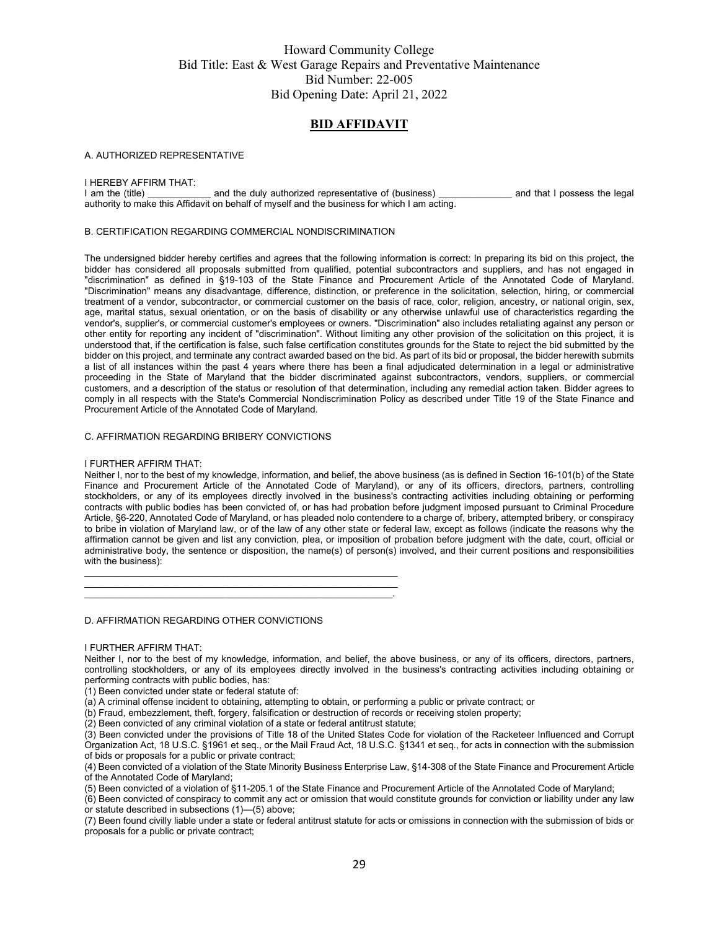#### **BID AFFIDAVIT**

#### A. AUTHORIZED REPRESENTATIVE

# I HEREBY AFFIRM THAT:<br>I am the (title)

and the duly authorized representative of (business) \_\_\_\_\_\_\_\_\_\_\_\_\_\_ and that I possess the legal authority to make this Affidavit on behalf of myself and the business for which I am acting.

#### B. CERTIFICATION REGARDING COMMERCIAL NONDISCRIMINATION

The undersigned bidder hereby certifies and agrees that the following information is correct: In preparing its bid on this project, the bidder has considered all proposals submitted from qualified, potential subcontractors and suppliers, and has not engaged in "discrimination" as defined in §19-103 of the State Finance and Procurement Article of the Annotated Code of Maryland. "Discrimination" means any disadvantage, difference, distinction, or preference in the solicitation, selection, hiring, or commercial treatment of a vendor, subcontractor, or commercial customer on the basis of race, color, religion, ancestry, or national origin, sex, age, marital status, sexual orientation, or on the basis of disability or any otherwise unlawful use of characteristics regarding the vendor's, supplier's, or commercial customer's employees or owners. "Discrimination" also includes retaliating against any person or other entity for reporting any incident of "discrimination". Without limiting any other provision of the solicitation on this project, it is understood that, if the certification is false, such false certification constitutes grounds for the State to reject the bid submitted by the bidder on this project, and terminate any contract awarded based on the bid. As part of its bid or proposal, the bidder herewith submits a list of all instances within the past 4 years where there has been a final adjudicated determination in a legal or administrative proceeding in the State of Maryland that the bidder discriminated against subcontractors, vendors, suppliers, or commercial customers, and a description of the status or resolution of that determination, including any remedial action taken. Bidder agrees to comply in all respects with the State's Commercial Nondiscrimination Policy as described under Title 19 of the State Finance and Procurement Article of the Annotated Code of Maryland.

#### C. AFFIRMATION REGARDING BRIBERY CONVICTIONS

#### I FURTHER AFFIRM THAT:

Neither I, nor to the best of my knowledge, information, and belief, the above business (as is defined in Section 16-101(b) of the State Finance and Procurement Article of the Annotated Code of Maryland), or any of its officers, directors, partners, controlling stockholders, or any of its employees directly involved in the business's contracting activities including obtaining or performing contracts with public bodies has been convicted of, or has had probation before judgment imposed pursuant to Criminal Procedure Article, §6-220, Annotated Code of Maryland, or has pleaded nolo contendere to a charge of, bribery, attempted bribery, or conspiracy to bribe in violation of Maryland law, or of the law of any other state or federal law, except as follows (indicate the reasons why the affirmation cannot be given and list any conviction, plea, or imposition of probation before judgment with the date, court, official or administrative body, the sentence or disposition, the name(s) of person(s) involved, and their current positions and responsibilities with the business):

D. AFFIRMATION REGARDING OTHER CONVICTIONS

#### I FURTHER AFFIRM THAT:

Neither I, nor to the best of my knowledge, information, and belief, the above business, or any of its officers, directors, partners, controlling stockholders, or any of its employees directly involved in the business's contracting activities including obtaining or performing contracts with public bodies, has:

(1) Been convicted under state or federal statute of:

(a) A criminal offense incident to obtaining, attempting to obtain, or performing a public or private contract; or

(b) Fraud, embezzlement, theft, forgery, falsification or destruction of records or receiving stolen property;

(2) Been convicted of any criminal violation of a state or federal antitrust statute;

\_\_\_\_\_\_\_\_\_\_\_\_\_\_\_\_\_\_\_\_\_\_\_\_\_\_\_\_\_\_\_\_\_\_\_\_\_\_\_\_\_\_\_\_\_\_\_\_\_\_\_\_\_\_\_\_\_\_\_\_  $\frac{1}{2}$  ,  $\frac{1}{2}$  ,  $\frac{1}{2}$  ,  $\frac{1}{2}$  ,  $\frac{1}{2}$  ,  $\frac{1}{2}$  ,  $\frac{1}{2}$  ,  $\frac{1}{2}$  ,  $\frac{1}{2}$  ,  $\frac{1}{2}$  ,  $\frac{1}{2}$  ,  $\frac{1}{2}$  ,  $\frac{1}{2}$  ,  $\frac{1}{2}$  ,  $\frac{1}{2}$  ,  $\frac{1}{2}$  ,  $\frac{1}{2}$  ,  $\frac{1}{2}$  ,  $\frac{1$ \_\_\_\_\_\_\_\_\_\_\_\_\_\_\_\_\_\_\_\_\_\_\_\_\_\_\_\_\_\_\_\_\_\_\_\_\_\_\_\_\_\_\_\_\_\_\_\_\_\_\_\_\_\_\_\_\_\_\_.

(3) Been convicted under the provisions of Title 18 of the United States Code for violation of the Racketeer Influenced and Corrupt Organization Act, 18 U.S.C. §1961 et seq., or the Mail Fraud Act, 18 U.S.C. §1341 et seq., for acts in connection with the submission of bids or proposals for a public or private contract;

(4) Been convicted of a violation of the State Minority Business Enterprise Law, §14-308 of the State Finance and Procurement Article of the Annotated Code of Maryland;

(5) Been convicted of a violation of §11-205.1 of the State Finance and Procurement Article of the Annotated Code of Maryland;

(6) Been convicted of conspiracy to commit any act or omission that would constitute grounds for conviction or liability under any law or statute described in subsections (1)—(5) above;

(7) Been found civilly liable under a state or federal antitrust statute for acts or omissions in connection with the submission of bids or proposals for a public or private contract;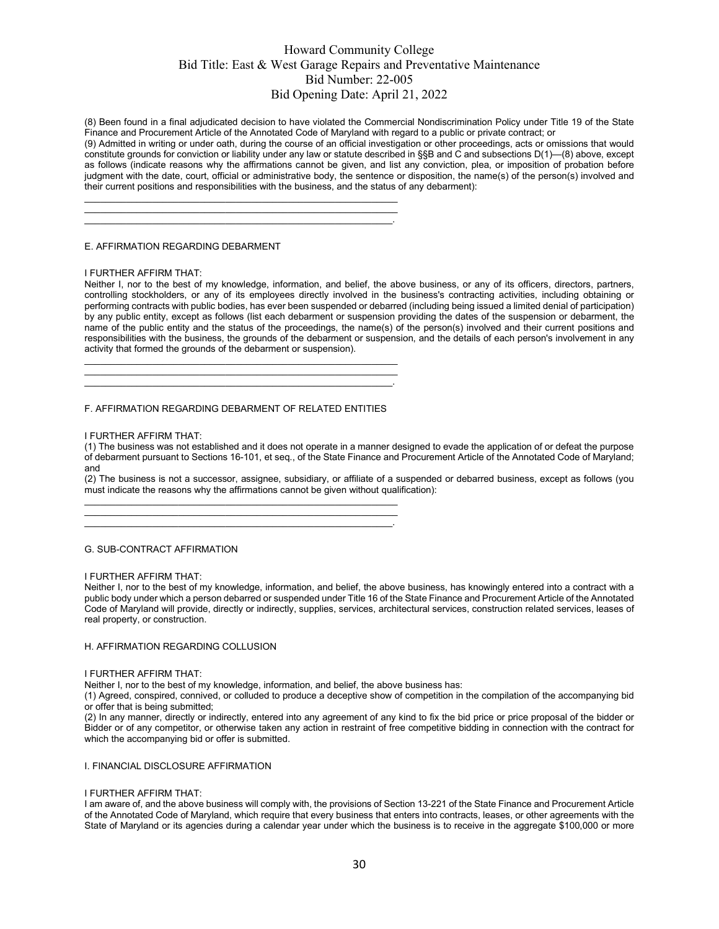(8) Been found in a final adjudicated decision to have violated the Commercial Nondiscrimination Policy under Title 19 of the State Finance and Procurement Article of the Annotated Code of Maryland with regard to a public or private contract; or

(9) Admitted in writing or under oath, during the course of an official investigation or other proceedings, acts or omissions that would constitute grounds for conviction or liability under any law or statute described in §§B and C and subsections D(1)—(8) above, except as follows (indicate reasons why the affirmations cannot be given, and list any conviction, plea, or imposition of probation before judgment with the date, court, official or administrative body, the sentence or disposition, the name(s) of the person(s) involved and their current positions and responsibilities with the business, and the status of any debarment):

#### E. AFFIRMATION REGARDING DEBARMENT

#### I FURTHER AFFIRM THAT:

Neither I, nor to the best of my knowledge, information, and belief, the above business, or any of its officers, directors, partners, controlling stockholders, or any of its employees directly involved in the business's contracting activities, including obtaining or performing contracts with public bodies, has ever been suspended or debarred (including being issued a limited denial of participation) by any public entity, except as follows (list each debarment or suspension providing the dates of the suspension or debarment, the name of the public entity and the status of the proceedings, the name(s) of the person(s) involved and their current positions and responsibilities with the business, the grounds of the debarment or suspension, and the details of each person's involvement in any activity that formed the grounds of the debarment or suspension).

\_\_\_\_\_\_\_\_\_\_\_\_\_\_\_\_\_\_\_\_\_\_\_\_\_\_\_\_\_\_\_\_\_\_\_\_\_\_\_\_\_\_\_\_\_\_\_\_\_\_\_\_\_\_\_\_\_\_\_\_ \_\_\_\_\_\_\_\_\_\_\_\_\_\_\_\_\_\_\_\_\_\_\_\_\_\_\_\_\_\_\_\_\_\_\_\_\_\_\_\_\_\_\_\_\_\_\_\_\_\_\_\_\_\_\_\_\_\_\_\_ \_\_\_\_\_\_\_\_\_\_\_\_\_\_\_\_\_\_\_\_\_\_\_\_\_\_\_\_\_\_\_\_\_\_\_\_\_\_\_\_\_\_\_\_\_\_\_\_\_\_\_\_\_\_\_\_\_\_\_.

 $\frac{1}{2}$  ,  $\frac{1}{2}$  ,  $\frac{1}{2}$  ,  $\frac{1}{2}$  ,  $\frac{1}{2}$  ,  $\frac{1}{2}$  ,  $\frac{1}{2}$  ,  $\frac{1}{2}$  ,  $\frac{1}{2}$  ,  $\frac{1}{2}$  ,  $\frac{1}{2}$  ,  $\frac{1}{2}$  ,  $\frac{1}{2}$  ,  $\frac{1}{2}$  ,  $\frac{1}{2}$  ,  $\frac{1}{2}$  ,  $\frac{1}{2}$  ,  $\frac{1}{2}$  ,  $\frac{1$  $\frac{1}{2}$  ,  $\frac{1}{2}$  ,  $\frac{1}{2}$  ,  $\frac{1}{2}$  ,  $\frac{1}{2}$  ,  $\frac{1}{2}$  ,  $\frac{1}{2}$  ,  $\frac{1}{2}$  ,  $\frac{1}{2}$  ,  $\frac{1}{2}$  ,  $\frac{1}{2}$  ,  $\frac{1}{2}$  ,  $\frac{1}{2}$  ,  $\frac{1}{2}$  ,  $\frac{1}{2}$  ,  $\frac{1}{2}$  ,  $\frac{1}{2}$  ,  $\frac{1}{2}$  ,  $\frac{1$  $\mathcal{L}_\text{max} = \mathcal{L}_\text{max} = \mathcal{L}_\text{max} = \mathcal{L}_\text{max} = \mathcal{L}_\text{max} = \mathcal{L}_\text{max} = \mathcal{L}_\text{max} = \mathcal{L}_\text{max} = \mathcal{L}_\text{max} = \mathcal{L}_\text{max} = \mathcal{L}_\text{max} = \mathcal{L}_\text{max} = \mathcal{L}_\text{max} = \mathcal{L}_\text{max} = \mathcal{L}_\text{max} = \mathcal{L}_\text{max} = \mathcal{L}_\text{max} = \mathcal{L}_\text{max} = \mathcal{$ 

#### F. AFFIRMATION REGARDING DEBARMENT OF RELATED ENTITIES

\_\_\_\_\_\_\_\_\_\_\_\_\_\_\_\_\_\_\_\_\_\_\_\_\_\_\_\_\_\_\_\_\_\_\_\_\_\_\_\_\_\_\_\_\_\_\_\_\_\_\_\_\_\_\_\_\_\_\_\_  $\_$  , and the set of the set of the set of the set of the set of the set of the set of the set of the set of the set of the set of the set of the set of the set of the set of the set of the set of the set of the set of th \_\_\_\_\_\_\_\_\_\_\_\_\_\_\_\_\_\_\_\_\_\_\_\_\_\_\_\_\_\_\_\_\_\_\_\_\_\_\_\_\_\_\_\_\_\_\_\_\_\_\_\_\_\_\_\_\_\_\_.

#### I FURTHER AFFIRM THAT:

(1) The business was not established and it does not operate in a manner designed to evade the application of or defeat the purpose of debarment pursuant to Sections 16-101, et seq., of the State Finance and Procurement Article of the Annotated Code of Maryland; and

(2) The business is not a successor, assignee, subsidiary, or affiliate of a suspended or debarred business, except as follows (you must indicate the reasons why the affirmations cannot be given without qualification):

#### G. SUB-CONTRACT AFFIRMATION

#### I FURTHER AFFIRM THAT:

Neither I, nor to the best of my knowledge, information, and belief, the above business, has knowingly entered into a contract with a public body under which a person debarred or suspended under Title 16 of the State Finance and Procurement Article of the Annotated Code of Maryland will provide, directly or indirectly, supplies, services, architectural services, construction related services, leases of real property, or construction.

#### H. AFFIRMATION REGARDING COLLUSION

#### I FURTHER AFFIRM THAT:

Neither I, nor to the best of my knowledge, information, and belief, the above business has:

(1) Agreed, conspired, connived, or colluded to produce a deceptive show of competition in the compilation of the accompanying bid or offer that is being submitted;

(2) In any manner, directly or indirectly, entered into any agreement of any kind to fix the bid price or price proposal of the bidder or Bidder or of any competitor, or otherwise taken any action in restraint of free competitive bidding in connection with the contract for which the accompanying bid or offer is submitted.

#### I. FINANCIAL DISCLOSURE AFFIRMATION

#### I FURTHER AFFIRM THAT:

I am aware of, and the above business will comply with, the provisions of Section 13-221 of the State Finance and Procurement Article of the Annotated Code of Maryland, which require that every business that enters into contracts, leases, or other agreements with the State of Maryland or its agencies during a calendar year under which the business is to receive in the aggregate \$100,000 or more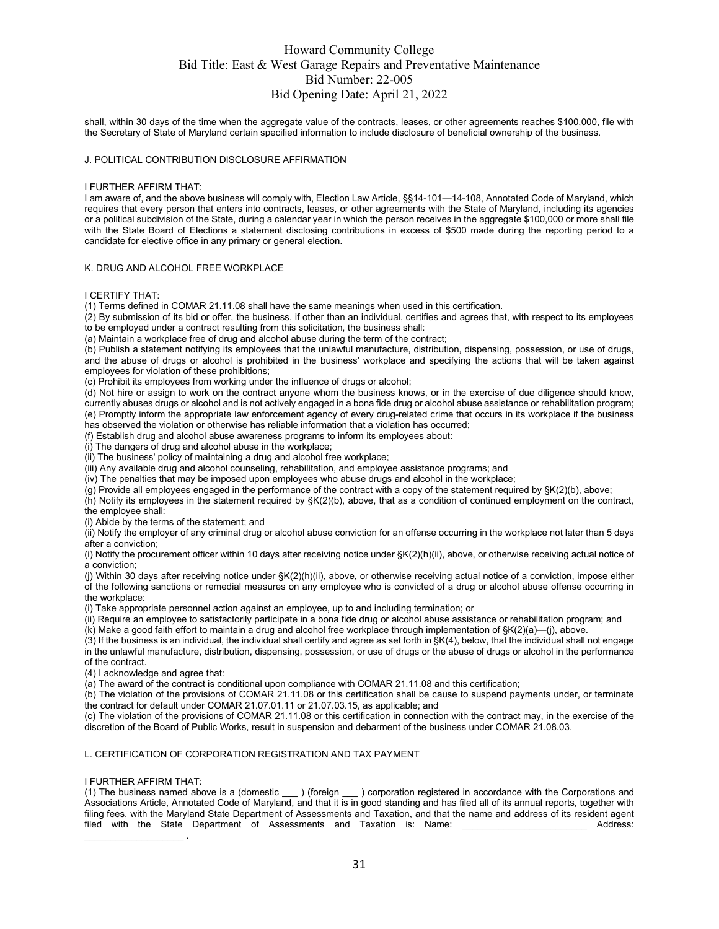shall, within 30 days of the time when the aggregate value of the contracts, leases, or other agreements reaches \$100,000, file with the Secretary of State of Maryland certain specified information to include disclosure of beneficial ownership of the business.

#### J. POLITICAL CONTRIBUTION DISCLOSURE AFFIRMATION

#### I FURTHER AFFIRM THAT:

I am aware of, and the above business will comply with, Election Law Article, §§14-101—14-108, Annotated Code of Maryland, which requires that every person that enters into contracts, leases, or other agreements with the State of Maryland, including its agencies or a political subdivision of the State, during a calendar year in which the person receives in the aggregate \$100,000 or more shall file with the State Board of Elections a statement disclosing contributions in excess of \$500 made during the reporting period to a candidate for elective office in any primary or general election.

#### K. DRUG AND ALCOHOL FREE WORKPLACE

I CERTIFY THAT:

(1) Terms defined in COMAR 21.11.08 shall have the same meanings when used in this certification.

 $(2)$  By submission of its bid or offer, the business, if other than an individual, certifies and agrees that, with respect to its employees to be employed under a contract resulting from this solicitation, the business shall:

(a) Maintain a workplace free of drug and alcohol abuse during the term of the contract;

(b) Publish a statement notifying its employees that the unlawful manufacture, distribution, dispensing, possession, or use of drugs, and the abuse of drugs or alcohol is prohibited in the business' workplace and specifying the actions that will be taken against employees for violation of these prohibitions;

(c) Prohibit its employees from working under the influence of drugs or alcohol;

(d) Not hire or assign to work on the contract anyone whom the business knows, or in the exercise of due diligence should know, currently abuses drugs or alcohol and is not actively engaged in a bona fide drug or alcohol abuse assistance or rehabilitation program; (e) Promptly inform the appropriate law enforcement agency of every drug-related crime that occurs in its workplace if the business has observed the violation or otherwise has reliable information that a violation has occurred;

(f) Establish drug and alcohol abuse awareness programs to inform its employees about:

(i) The dangers of drug and alcohol abuse in the workplace;

(ii) The business' policy of maintaining a drug and alcohol free workplace;

(iii) Any available drug and alcohol counseling, rehabilitation, and employee assistance programs; and

(iv) The penalties that may be imposed upon employees who abuse drugs and alcohol in the workplace;

 $(q)$  Provide all employees engaged in the performance of the contract with a copy of the statement required by  $\frac{1}{2}(q)$ ; above;

(h) Notify its employees in the statement required by §K(2)(b), above, that as a condition of continued employment on the contract, the employee shall:

(i) Abide by the terms of the statement; and

(ii) Notify the employer of any criminal drug or alcohol abuse conviction for an offense occurring in the workplace not later than 5 days after a conviction;

(i) Notify the procurement officer within 10 days after receiving notice under §K(2)(h)(ii), above, or otherwise receiving actual notice of a conviction;

(j) Within 30 days after receiving notice under §K(2)(h)(ii), above, or otherwise receiving actual notice of a conviction, impose either of the following sanctions or remedial measures on any employee who is convicted of a drug or alcohol abuse offense occurring in the workplace:

(i) Take appropriate personnel action against an employee, up to and including termination; or

(ii) Require an employee to satisfactorily participate in a bona fide drug or alcohol abuse assistance or rehabilitation program; and  $(k)$  Make a good faith effort to maintain a drug and alcohol free workplace through implementation of  $K(2)(a)$ —(j), above.

(3) If the business is an individual, the individual shall certify and agree as set forth in §K(4), below, that the individual shall not engage in the unlawful manufacture, distribution, dispensing, possession, or use of drugs or the abuse of drugs or alcohol in the performance of the contract.

(4) I acknowledge and agree that:

(a) The award of the contract is conditional upon compliance with COMAR 21.11.08 and this certification;

 $(b)$  The violation of the provisions of COMAR 21.11.08 or this certification shall be cause to suspend payments under, or terminate the contract for default under COMAR 21.07.01.11 or 21.07.03.15, as applicable; and

(c) The violation of the provisions of COMAR 21.11.08 or this certification in connection with the contract may, in the exercise of the discretion of the Board of Public Works, result in suspension and debarment of the business under COMAR 21.08.03.

#### L. CERTIFICATION OF CORPORATION REGISTRATION AND TAX PAYMENT

I FURTHER AFFIRM THAT:<br>(1) The business named above is a (domestic ) (foreign ) corporation registered in accordance with the Corporations and Associations Article, Annotated Code of Maryland, and that it is in good standing and has filed all of its annual reports, together with filing fees, with the Maryland State Department of Assessments and Taxation, and that the name and address of its resident agent filed with the State Department of Assessments and Taxation is: Name: Andress: Address: filed with the State Department of Assessments and Taxation is: Name:  $\mathcal{L}_\text{max}$  . The set of the set of the set of the set of the set of the set of the set of the set of the set of the set of the set of the set of the set of the set of the set of the set of the set of the set of the set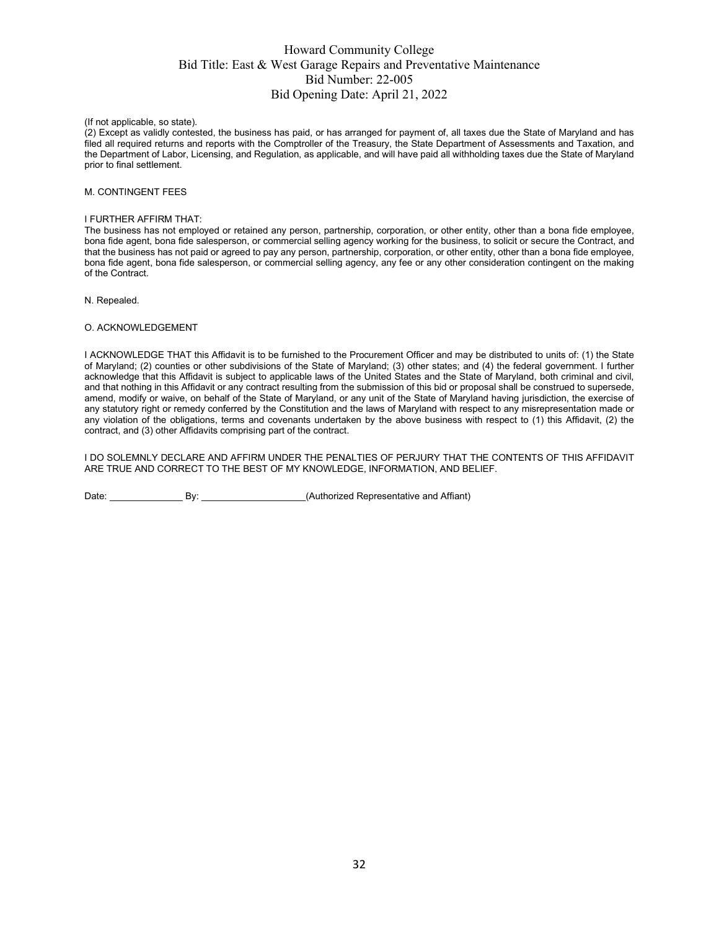(If not applicable, so state).

(2) Except as validly contested, the business has paid, or has arranged for payment of, all taxes due the State of Maryland and has filed all required returns and reports with the Comptroller of the Treasury, the State Department of Assessments and Taxation, and the Department of Labor, Licensing, and Regulation, as applicable, and will have paid all withholding taxes due the State of Maryland prior to final settlement.

#### M. CONTINGENT FEES

#### I FURTHER AFFIRM THAT:

The business has not employed or retained any person, partnership, corporation, or other entity, other than a bona fide employee, bona fide agent, bona fide salesperson, or commercial selling agency working for the business, to solicit or secure the Contract, and that the business has not paid or agreed to pay any person, partnership, corporation, or other entity, other than a bona fide employee, bona fide agent, bona fide salesperson, or commercial selling agency, any fee or any other consideration contingent on the making of the Contract.

N. Repealed.

#### O. ACKNOWLEDGEMENT

I ACKNOWLEDGE THAT this Affidavit is to be furnished to the Procurement Officer and may be distributed to units of: (1) the State of Maryland; (2) counties or other subdivisions of the State of Maryland; (3) other states; and (4) the federal government. I further acknowledge that this Affidavit is subject to applicable laws of the United States and the State of Maryland, both criminal and civil, and that nothing in this Affidavit or any contract resulting from the submission of this bid or proposal shall be construed to supersede, amend, modify or waive, on behalf of the State of Maryland, or any unit of the State of Maryland having jurisdiction, the exercise of any statutory right or remedy conferred by the Constitution and the laws of Maryland with respect to any misrepresentation made or any violation of the obligations, terms and covenants undertaken by the above business with respect to (1) this Affidavit, (2) the contract, and (3) other Affidavits comprising part of the contract.

I DO SOLEMNLY DECLARE AND AFFIRM UNDER THE PENALTIES OF PERJURY THAT THE CONTENTS OF THIS AFFIDAVIT ARE TRUE AND CORRECT TO THE BEST OF MY KNOWLEDGE, INFORMATION, AND BELIEF.

Date: \_\_\_\_\_\_\_\_\_\_\_\_\_\_ By: \_\_\_\_\_\_\_\_\_\_\_\_\_\_\_\_\_\_\_\_(Authorized Representative and Affiant)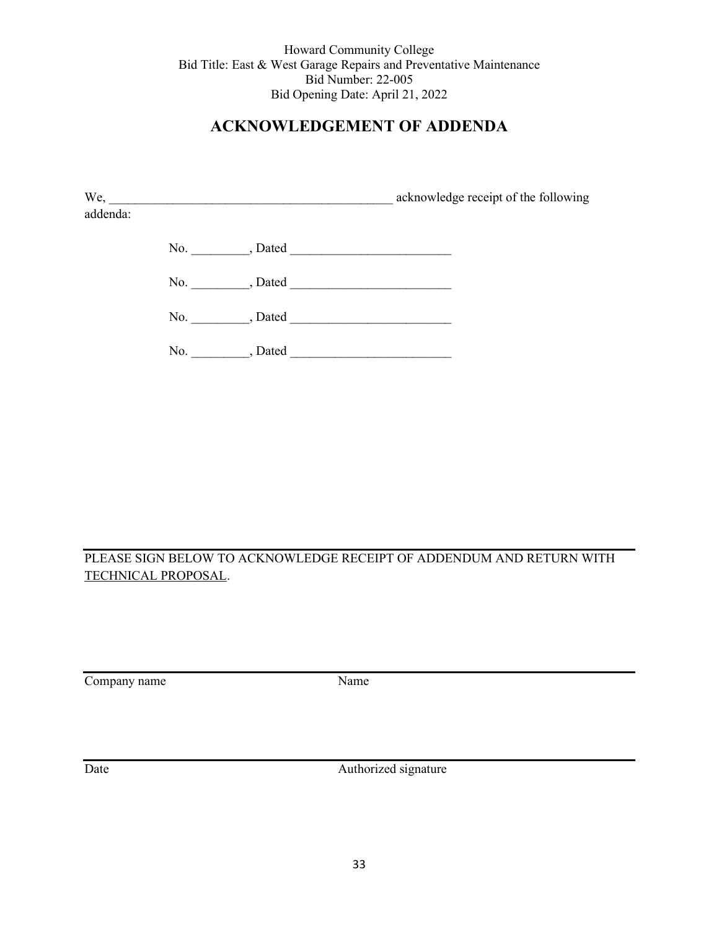# **ACKNOWLEDGEMENT OF ADDENDA**

|          | $We, \underline{\hspace{2cm}}$ | acknowledge receipt of the following |
|----------|--------------------------------|--------------------------------------|
| addenda: |                                |                                      |
|          |                                |                                      |
|          | No., Dated                     |                                      |
|          | No. , Dated                    |                                      |
|          | No., Dated                     |                                      |
|          |                                |                                      |

PLEASE SIGN BELOW TO ACKNOWLEDGE RECEIPT OF ADDENDUM AND RETURN WITH TECHNICAL PROPOSAL.

Company name Name

Date Authorized signature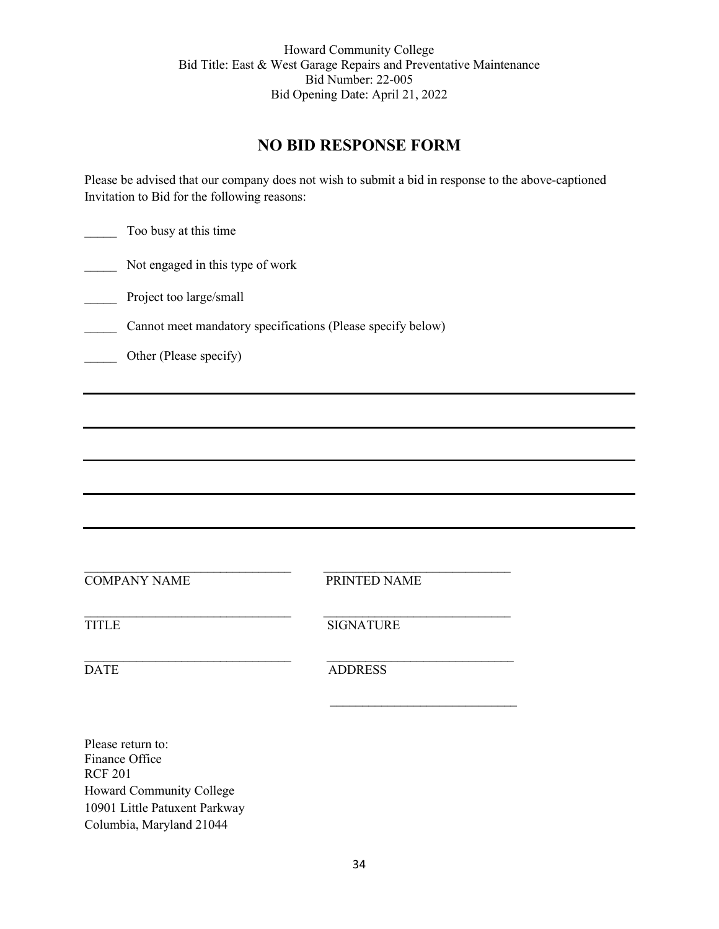# **NO BID RESPONSE FORM**

Please be advised that our company does not wish to submit a bid in response to the above-captioned Invitation to Bid for the following reasons:

Too busy at this time

Not engaged in this type of work

Project too large/small

\_\_\_\_\_ Cannot meet mandatory specifications (Please specify below)

Other (Please specify)

COMPANY NAME PRINTED NAME

\_\_\_\_\_\_\_\_\_\_\_\_\_\_\_\_\_\_\_\_\_\_\_\_\_\_\_\_\_\_\_\_ \_\_\_\_\_\_\_\_\_\_\_\_\_\_\_\_\_\_\_\_\_\_\_\_\_\_\_\_\_

 $\_$  , and the contribution of  $\overline{\mathcal{L}}$  , and  $\overline{\mathcal{L}}$  , and  $\overline{\mathcal{L}}$  , and  $\overline{\mathcal{L}}$  , and  $\overline{\mathcal{L}}$ TITLE SIGNATURE

 $\_$  , and the contribution of the contribution of  $\mathcal{L}_\mathcal{A}$ DATE ADDRESS

 $\frac{1}{2}$  ,  $\frac{1}{2}$  ,  $\frac{1}{2}$  ,  $\frac{1}{2}$  ,  $\frac{1}{2}$  ,  $\frac{1}{2}$  ,  $\frac{1}{2}$  ,  $\frac{1}{2}$  ,  $\frac{1}{2}$  ,  $\frac{1}{2}$  ,  $\frac{1}{2}$  ,  $\frac{1}{2}$  ,  $\frac{1}{2}$  ,  $\frac{1}{2}$  ,  $\frac{1}{2}$  ,  $\frac{1}{2}$  ,  $\frac{1}{2}$  ,  $\frac{1}{2}$  ,  $\frac{1$ 

Please return to: Finance Office RCF 201 Howard Community College 10901 Little Patuxent Parkway Columbia, Maryland 21044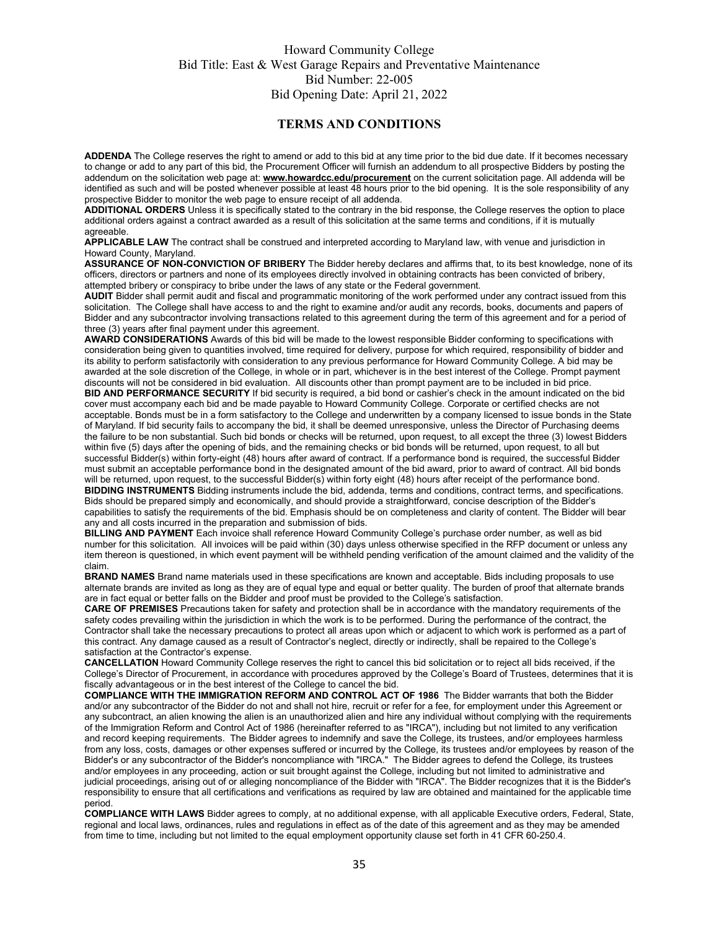#### **TERMS AND CONDITIONS**

**ADDENDA** The College reserves the right to amend or add to this bid at any time prior to the bid due date. If it becomes necessary to change or add to any part of this bid, the Procurement Officer will furnish an addendum to all prospective Bidders by posting the addendum on the solicitation web page at: **[www.howardcc.edu/procurement](http://www.howardcc.edu/procurement)** on the current solicitation page. All addenda will be identified as such and will be posted whenever possible at least 48 hours prior to the bid opening. It is the sole responsibility of any prospective Bidder to monitor the web page to ensure receipt of all addenda.

**ADDITIONAL ORDERS** Unless it is specifically stated to the contrary in the bid response, the College reserves the option to place additional orders against a contract awarded as a result of this solicitation at the same terms and conditions, if it is mutually agreeable.

**APPLICABLE LAW** The contract shall be construed and interpreted according to Maryland law, with venue and jurisdiction in Howard County, Maryland.

**ASSURANCE OF NON-CONVICTION OF BRIBERY** The Bidder hereby declares and affirms that, to its best knowledge, none of its officers, directors or partners and none of its employees directly involved in obtaining contracts has been convicted of bribery, attempted bribery or conspiracy to bribe under the laws of any state or the Federal government.

**AUDIT** Bidder shall permit audit and fiscal and programmatic monitoring of the work performed under any contract issued from this solicitation. The College shall have access to and the right to examine and/or audit any records, books, documents and papers of Bidder and any subcontractor involving transactions related to this agreement during the term of this agreement and for a period of three (3) years after final payment under this agreement.

**AWARD CONSIDERATIONS** Awards of this bid will be made to the lowest responsible Bidder conforming to specifications with consideration being given to quantities involved, time required for delivery, purpose for which required, responsibility of bidder and its ability to perform satisfactorily with consideration to any previous performance for Howard Community College. A bid may be awarded at the sole discretion of the College, in whole or in part, whichever is in the best interest of the College. Prompt payment discounts will not be considered in bid evaluation. All discounts other than prompt payment are to be included in bid price.

**BID AND PERFORMANCE SECURITY** If bid security is required, a bid bond or cashier's check in the amount indicated on the bid cover must accompany each bid and be made payable to Howard Community College. Corporate or certified checks are not acceptable. Bonds must be in a form satisfactory to the College and underwritten by a company licensed to issue bonds in the State of Maryland. If bid security fails to accompany the bid, it shall be deemed unresponsive, unless the Director of Purchasing deems the failure to be non substantial. Such bid bonds or checks will be returned, upon request, to all except the three (3) lowest Bidders within five (5) days after the opening of bids, and the remaining checks or bid bonds will be returned, upon request, to all but successful Bidder(s) within forty-eight (48) hours after award of contract. If a performance bond is required, the successful Bidder must submit an acceptable performance bond in the designated amount of the bid award, prior to award of contract. All bid bonds will be returned, upon request, to the successful Bidder(s) within forty eight (48) hours after receipt of the performance bond. **BIDDING INSTRUMENTS** Bidding instruments include the bid, addenda, terms and conditions, contract terms, and specifications. Bids should be prepared simply and economically, and should provide a straightforward, concise description of the Bidder's capabilities to satisfy the requirements of the bid. Emphasis should be on completeness and clarity of content. The Bidder will bear

any and all costs incurred in the preparation and submission of bids. **BILLING AND PAYMENT** Each invoice shall reference Howard Community College's purchase order number, as well as bid number for this solicitation. All invoices will be paid within (30) days unless otherwise specified in the RFP document or unless any item thereon is questioned, in which event payment will be withheld pending verification of the amount claimed and the validity of the claim.

**BRAND NAMES** Brand name materials used in these specifications are known and acceptable. Bids including proposals to use alternate brands are invited as long as they are of equal type and equal or better quality. The burden of proof that alternate brands are in fact equal or better falls on the Bidder and proof must be provided to the College's satisfaction.

**CARE OF PREMISES** Precautions taken for safety and protection shall be in accordance with the mandatory requirements of the safety codes prevailing within the jurisdiction in which the work is to be performed. During the performance of the contract, the Contractor shall take the necessary precautions to protect all areas upon which or adjacent to which work is performed as a part of this contract. Any damage caused as a result of Contractor's neglect, directly or indirectly, shall be repaired to the College's satisfaction at the Contractor's expense.

**CANCELLATION** Howard Community College reserves the right to cancel this bid solicitation or to reject all bids received, if the College's Director of Procurement, in accordance with procedures approved by the College's Board of Trustees, determines that it is fiscally advantageous or in the best interest of the College to cancel the bid.

**COMPLIANCE WITH THE IMMIGRATION REFORM AND CONTROL ACT OF 1986** The Bidder warrants that both the Bidder and/or any subcontractor of the Bidder do not and shall not hire, recruit or refer for a fee, for employment under this Agreement or any subcontract, an alien knowing the alien is an unauthorized alien and hire any individual without complying with the requirements of the Immigration Reform and Control Act of 1986 (hereinafter referred to as "IRCA"), including but not limited to any verification and record keeping requirements. The Bidder agrees to indemnify and save the College, its trustees, and/or employees harmless from any loss, costs, damages or other expenses suffered or incurred by the College, its trustees and/or employees by reason of the Bidder's or any subcontractor of the Bidder's noncompliance with "IRCA." The Bidder agrees to defend the College, its trustees and/or employees in any proceeding, action or suit brought against the College, including but not limited to administrative and judicial proceedings, arising out of or alleging noncompliance of the Bidder with "IRCA". The Bidder recognizes that it is the Bidder's responsibility to ensure that all certifications and verifications as required by law are obtained and maintained for the applicable time period.

**COMPLIANCE WITH LAWS** Bidder agrees to comply, at no additional expense, with all applicable Executive orders, Federal, State, regional and local laws, ordinances, rules and regulations in effect as of the date of this agreement and as they may be amended from time to time, including but not limited to the equal employment opportunity clause set forth in 41 CFR 60-250.4.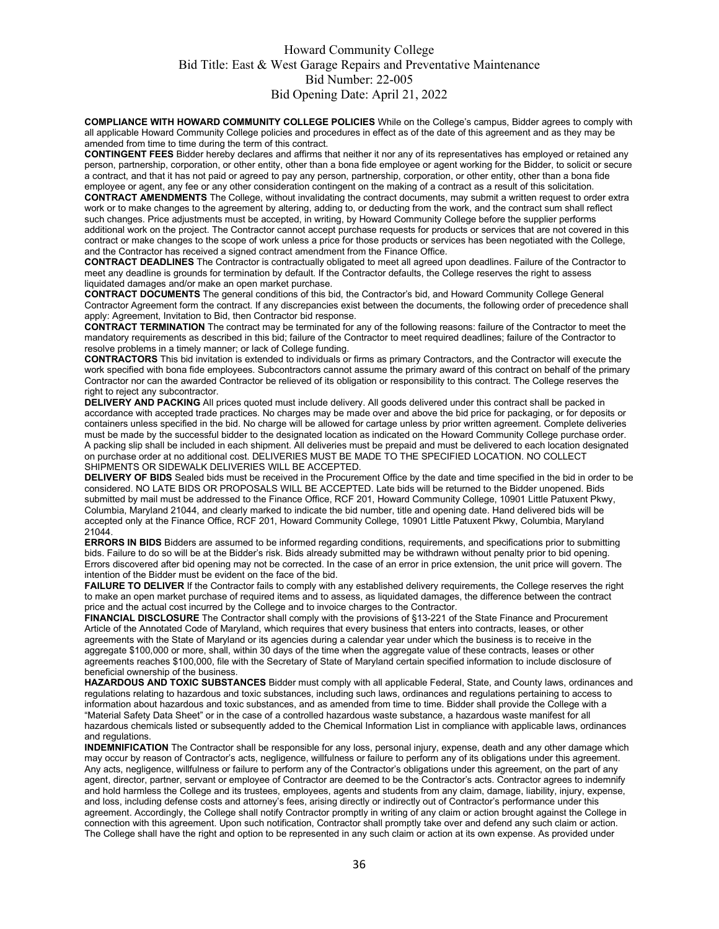**COMPLIANCE WITH HOWARD COMMUNITY COLLEGE POLICIES** While on the College's campus, Bidder agrees to comply with all applicable Howard Community College policies and procedures in effect as of the date of this agreement and as they may be amended from time to time during the term of this contract.

**CONTINGENT FEES** Bidder hereby declares and affirms that neither it nor any of its representatives has employed or retained any person, partnership, corporation, or other entity, other than a bona fide employee or agent working for the Bidder, to solicit or secure a contract, and that it has not paid or agreed to pay any person, partnership, corporation, or other entity, other than a bona fide employee or agent, any fee or any other consideration contingent on the making of a contract as a result of this solicitation.

**CONTRACT AMENDMENTS** The College, without invalidating the contract documents, may submit a written request to order extra work or to make changes to the agreement by altering, adding to, or deducting from the work, and the contract sum shall reflect such changes. Price adjustments must be accepted, in writing, by Howard Community College before the supplier performs additional work on the project. The Contractor cannot accept purchase requests for products or services that are not covered in this contract or make changes to the scope of work unless a price for those products or services has been negotiated with the College, and the Contractor has received a signed contract amendment from the Finance Office.

**CONTRACT DEADLINES** The Contractor is contractually obligated to meet all agreed upon deadlines. Failure of the Contractor to meet any deadline is grounds for termination by default. If the Contractor defaults, the College reserves the right to assess liquidated damages and/or make an open market purchase.

**CONTRACT DOCUMENTS** The general conditions of this bid, the Contractor's bid, and Howard Community College General Contractor Agreement form the contract. If any discrepancies exist between the documents, the following order of precedence shall apply: Agreement, Invitation to Bid, then Contractor bid response.

**CONTRACT TERMINATION** The contract may be terminated for any of the following reasons: failure of the Contractor to meet the mandatory requirements as described in this bid; failure of the Contractor to meet required deadlines; failure of the Contractor to resolve problems in a timely manner; or lack of College funding.

**CONTRACTORS** This bid invitation is extended to individuals or firms as primary Contractors, and the Contractor will execute the work specified with bona fide employees. Subcontractors cannot assume the primary award of this contract on behalf of the primary Contractor nor can the awarded Contractor be relieved of its obligation or responsibility to this contract. The College reserves the right to reject any subcontractor.

**DELIVERY AND PACKING** All prices quoted must include delivery. All goods delivered under this contract shall be packed in accordance with accepted trade practices. No charges may be made over and above the bid price for packaging, or for deposits or containers unless specified in the bid. No charge will be allowed for cartage unless by prior written agreement. Complete deliveries must be made by the successful bidder to the designated location as indicated on the Howard Community College purchase order. A packing slip shall be included in each shipment. All deliveries must be prepaid and must be delivered to each location designated on purchase order at no additional cost. DELIVERIES MUST BE MADE TO THE SPECIFIED LOCATION. NO COLLECT SHIPMENTS OR SIDEWALK DELIVERIES WILL BE ACCEPTED.

**DELIVERY OF BIDS** Sealed bids must be received in the Procurement Office by the date and time specified in the bid in order to be considered. NO LATE BIDS OR PROPOSALS WILL BE ACCEPTED. Late bids will be returned to the Bidder unopened. Bids submitted by mail must be addressed to the Finance Office, RCF 201, Howard Community College, 10901 Little Patuxent Pkwy, Columbia, Maryland 21044, and clearly marked to indicate the bid number, title and opening date. Hand delivered bids will be accepted only at the Finance Office, RCF 201, Howard Community College, 10901 Little Patuxent Pkwy, Columbia, Maryland 21044.

**ERRORS IN BIDS** Bidders are assumed to be informed regarding conditions, requirements, and specifications prior to submitting bids. Failure to do so will be at the Bidder's risk. Bids already submitted may be withdrawn without penalty prior to bid opening. Errors discovered after bid opening may not be corrected. In the case of an error in price extension, the unit price will govern. The intention of the Bidder must be evident on the face of the bid.

**FAILURE TO DELIVER** If the Contractor fails to comply with any established delivery requirements, the College reserves the right to make an open market purchase of required items and to assess, as liquidated damages, the difference between the contract price and the actual cost incurred by the College and to invoice charges to the Contractor.

**FINANCIAL DISCLOSURE** The Contractor shall comply with the provisions of §13-221 of the State Finance and Procurement Article of the Annotated Code of Maryland, which requires that every business that enters into contracts, leases, or other agreements with the State of Maryland or its agencies during a calendar year under which the business is to receive in the aggregate \$100,000 or more, shall, within 30 days of the time when the aggregate value of these contracts, leases or other agreements reaches \$100,000, file with the Secretary of State of Maryland certain specified information to include disclosure of beneficial ownership of the business.

**HAZARDOUS AND TOXIC SUBSTANCES** Bidder must comply with all applicable Federal, State, and County laws, ordinances and regulations relating to hazardous and toxic substances, including such laws, ordinances and regulations pertaining to access to information about hazardous and toxic substances, and as amended from time to time. Bidder shall provide the College with a "Material Safety Data Sheet" or in the case of a controlled hazardous waste substance, a hazardous waste manifest for all hazardous chemicals listed or subsequently added to the Chemical Information List in compliance with applicable laws, ordinances and regulations.

**INDEMNIFICATION** The Contractor shall be responsible for any loss, personal injury, expense, death and any other damage which may occur by reason of Contractor's acts, negligence, willfulness or failure to perform any of its obligations under this agreement. Any acts, negligence, willfulness or failure to perform any of the Contractor's obligations under this agreement, on the part of any agent, director, partner, servant or employee of Contractor are deemed to be the Contractor's acts. Contractor agrees to indemnify and hold harmless the College and its trustees, employees, agents and students from any claim, damage, liability, injury, expense, and loss, including defense costs and attorney's fees, arising directly or indirectly out of Contractor's performance under this agreement. Accordingly, the College shall notify Contractor promptly in writing of any claim or action brought against the College in connection with this agreement. Upon such notification, Contractor shall promptly take over and defend any such claim or action. The College shall have the right and option to be represented in any such claim or action at its own expense. As provided under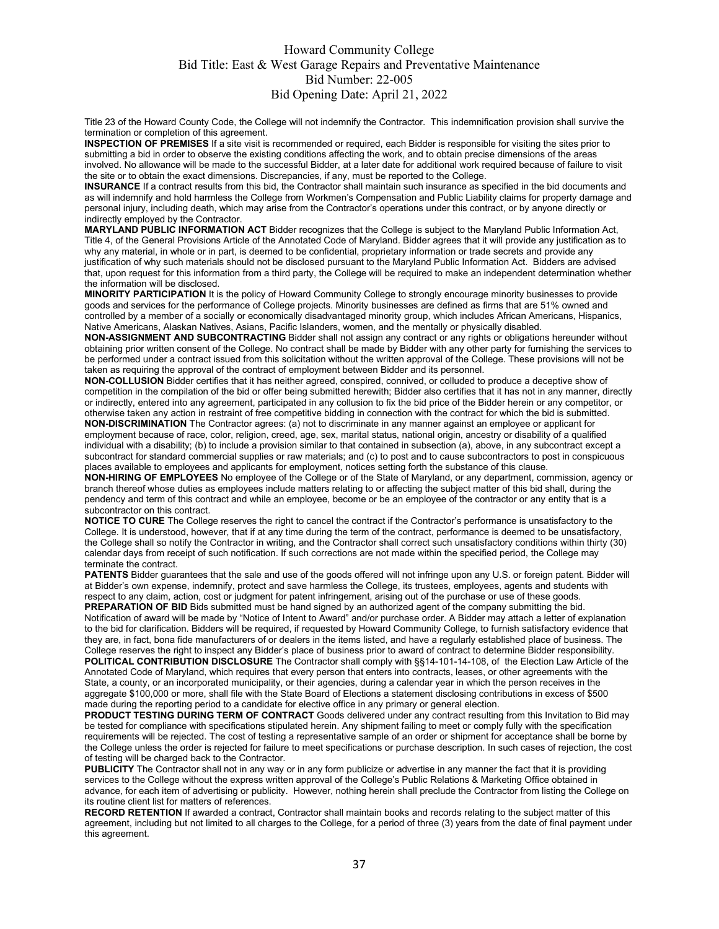Title 23 of the Howard County Code, the College will not indemnify the Contractor. This indemnification provision shall survive the termination or completion of this agreement.

**INSPECTION OF PREMISES** If a site visit is recommended or required, each Bidder is responsible for visiting the sites prior to submitting a bid in order to observe the existing conditions affecting the work, and to obtain precise dimensions of the areas involved. No allowance will be made to the successful Bidder, at a later date for additional work required because of failure to visit the site or to obtain the exact dimensions. Discrepancies, if any, must be reported to the College.

**INSURANCE** If a contract results from this bid, the Contractor shall maintain such insurance as specified in the bid documents and as will indemnify and hold harmless the College from Workmen's Compensation and Public Liability claims for property damage and personal injury, including death, which may arise from the Contractor's operations under this contract, or by anyone directly or indirectly employed by the Contractor.

**MARYLAND PUBLIC INFORMATION ACT** Bidder recognizes that the College is subject to the Maryland Public Information Act, Title 4, of the General Provisions Article of the Annotated Code of Maryland. Bidder agrees that it will provide any justification as to why any material, in whole or in part, is deemed to be confidential, proprietary information or trade secrets and provide any justification of why such materials should not be disclosed pursuant to the Maryland Public Information Act. Bidders are advised that, upon request for this information from a third party, the College will be required to make an independent determination whether the information will be disclosed.

**MINORITY PARTICIPATION** It is the policy of Howard Community College to strongly encourage minority businesses to provide goods and services for the performance of College projects. Minority businesses are defined as firms that are 51% owned and controlled by a member of a socially or economically disadvantaged minority group, which includes African Americans, Hispanics, Native Americans, Alaskan Natives, Asians, Pacific Islanders, women, and the mentally or physically disabled.

**NON-ASSIGNMENT AND SUBCONTRACTING** Bidder shall not assign any contract or any rights or obligations hereunder without obtaining prior written consent of the College. No contract shall be made by Bidder with any other party for furnishing the services to be performed under a contract issued from this solicitation without the written approval of the College. These provisions will not be taken as requiring the approval of the contract of employment between Bidder and its personnel.

**NON-COLLUSION** Bidder certifies that it has neither agreed, conspired, connived, or colluded to produce a deceptive show of competition in the compilation of the bid or offer being submitted herewith; Bidder also certifies that it has not in any manner, directly or indirectly, entered into any agreement, participated in any collusion to fix the bid price of the Bidder herein or any competitor, or otherwise taken any action in restraint of free competitive bidding in connection with the contract for which the bid is submitted.

**NON-DISCRIMINATION** The Contractor agrees: (a) not to discriminate in any manner against an employee or applicant for employment because of race, color, religion, creed, age, sex, marital status, national origin, ancestry or disability of a qualified individual with a disability; (b) to include a provision similar to that contained in subsection (a), above, in any subcontract except a subcontract for standard commercial supplies or raw materials; and (c) to post and to cause subcontractors to post in conspicuous places available to employees and applicants for employment, notices setting forth the substance of this clause.

**NON-HIRING OF EMPLOYEES** No employee of the College or of the State of Maryland, or any department, commission, agency or branch thereof whose duties as employees include matters relating to or affecting the subject matter of this bid shall, during the pendency and term of this contract and while an employee, become or be an employee of the contractor or any entity that is a subcontractor on this contract.

**NOTICE TO CURE** The College reserves the right to cancel the contract if the Contractor's performance is unsatisfactory to the College. It is understood, however, that if at any time during the term of the contract, performance is deemed to be unsatisfactory, the College shall so notify the Contractor in writing, and the Contractor shall correct such unsatisfactory conditions within thirty (30) calendar days from receipt of such notification. If such corrections are not made within the specified period, the College may terminate the contract.

PATENTS Bidder guarantees that the sale and use of the goods offered will not infringe upon any U.S. or foreign patent. Bidder will at Bidder's own expense, indemnify, protect and save harmless the College, its trustees, employees, agents and students with respect to any claim, action, cost or judgment for patent infringement, arising out of the purchase or use of these goods. **PREPARATION OF BID** Bids submitted must be hand signed by an authorized agent of the company submitting the bid. Notification of award will be made by "Notice of Intent to Award" and/or purchase order. A Bidder may attach a letter of explanation to the bid for clarification. Bidders will be required, if requested by Howard Community College, to furnish satisfactory evidence that they are, in fact, bona fide manufacturers of or dealers in the items listed, and have a regularly established place of business. The College reserves the right to inspect any Bidder's place of business prior to award of contract to determine Bidder responsibility.

**POLITICAL CONTRIBUTION DISCLOSURE** The Contractor shall comply with §§14-101-14-108, of the Election Law Article of the Annotated Code of Maryland, which requires that every person that enters into contracts, leases, or other agreements with the State, a county, or an incorporated municipality, or their agencies, during a calendar year in which the person receives in the aggregate \$100,000 or more, shall file with the State Board of Elections a statement disclosing contributions in excess of \$500 made during the reporting period to a candidate for elective office in any primary or general election.

**PRODUCT TESTING DURING TERM OF CONTRACT** Goods delivered under any contract resulting from this Invitation to Bid may be tested for compliance with specifications stipulated herein. Any shipment failing to meet or comply fully with the specification requirements will be rejected. The cost of testing a representative sample of an order or shipment for acceptance shall be borne by the College unless the order is rejected for failure to meet specifications or purchase description. In such cases of rejection, the cost of testing will be charged back to the Contractor.

**PUBLICITY** The Contractor shall not in any way or in any form publicize or advertise in any manner the fact that it is providing services to the College without the express written approval of the College's Public Relations & Marketing Office obtained in advance, for each item of advertising or publicity. However, nothing herein shall preclude the Contractor from listing the College on its routine client list for matters of references.

**RECORD RETENTION** If awarded a contract, Contractor shall maintain books and records relating to the subject matter of this agreement, including but not limited to all charges to the College, for a period of three (3) years from the date of final payment under this agreement.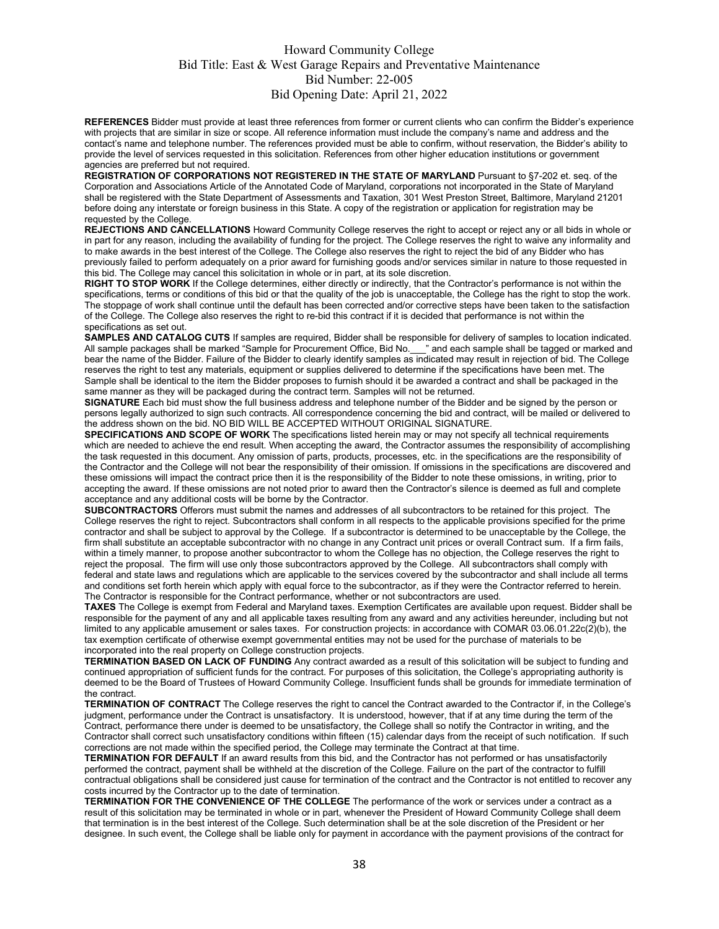**REFERENCES** Bidder must provide at least three references from former or current clients who can confirm the Bidder's experience with projects that are similar in size or scope. All reference information must include the company's name and address and the contact's name and telephone number. The references provided must be able to confirm, without reservation, the Bidder's ability to provide the level of services requested in this solicitation. References from other higher education institutions or government agencies are preferred but not required.

**REGISTRATION OF CORPORATIONS NOT REGISTERED IN THE STATE OF MARYLAND** Pursuant to §7-202 et. seq. of the Corporation and Associations Article of the Annotated Code of Maryland, corporations not incorporated in the State of Maryland shall be registered with the State Department of Assessments and Taxation, 301 West Preston Street, Baltimore, Maryland 21201 before doing any interstate or foreign business in this State. A copy of the registration or application for registration may be requested by the College.

**REJECTIONS AND CANCELLATIONS** Howard Community College reserves the right to accept or reject any or all bids in whole or in part for any reason, including the availability of funding for the project. The College reserves the right to waive any informality and to make awards in the best interest of the College. The College also reserves the right to reject the bid of any Bidder who has previously failed to perform adequately on a prior award for furnishing goods and/or services similar in nature to those requested in this bid. The College may cancel this solicitation in whole or in part, at its sole discretion.

**RIGHT TO STOP WORK** If the College determines, either directly or indirectly, that the Contractor's performance is not within the specifications, terms or conditions of this bid or that the quality of the job is unacceptable, the College has the right to stop the work. The stoppage of work shall continue until the default has been corrected and/or corrective steps have been taken to the satisfaction of the College. The College also reserves the right to re-bid this contract if it is decided that performance is not within the specifications as set out.

**SAMPLES AND CATALOG CUTS** If samples are required, Bidder shall be responsible for delivery of samples to location indicated. All sample packages shall be marked "Sample for Procurement Office, Bid No.\_\_\_" and each sample shall be tagged or marked and bear the name of the Bidder. Failure of the Bidder to clearly identify samples as indicated may result in rejection of bid. The College reserves the right to test any materials, equipment or supplies delivered to determine if the specifications have been met. The Sample shall be identical to the item the Bidder proposes to furnish should it be awarded a contract and shall be packaged in the same manner as they will be packaged during the contract term. Samples will not be returned.

**SIGNATURE** Each bid must show the full business address and telephone number of the Bidder and be signed by the person or persons legally authorized to sign such contracts. All correspondence concerning the bid and contract, will be mailed or delivered to the address shown on the bid. NO BID WILL BE ACCEPTED WITHOUT ORIGINAL SIGNATURE.

**SPECIFICATIONS AND SCOPE OF WORK** The specifications listed herein may or may not specify all technical requirements which are needed to achieve the end result. When accepting the award, the Contractor assumes the responsibility of accomplishing the task requested in this document. Any omission of parts, products, processes, etc. in the specifications are the responsibility of the Contractor and the College will not bear the responsibility of their omission. If omissions in the specifications are discovered and these omissions will impact the contract price then it is the responsibility of the Bidder to note these omissions, in writing, prior to accepting the award. If these omissions are not noted prior to award then the Contractor's silence is deemed as full and complete acceptance and any additional costs will be borne by the Contractor.

**SUBCONTRACTORS** Offerors must submit the names and addresses of all subcontractors to be retained for this project. The College reserves the right to reject. Subcontractors shall conform in all respects to the applicable provisions specified for the prime contractor and shall be subject to approval by the College. If a subcontractor is determined to be unacceptable by the College, the firm shall substitute an acceptable subcontractor with no change in any Contract unit prices or overall Contract sum. If a firm fails, within a timely manner, to propose another subcontractor to whom the College has no objection, the College reserves the right to reject the proposal. The firm will use only those subcontractors approved by the College. All subcontractors shall comply with federal and state laws and regulations which are applicable to the services covered by the subcontractor and shall include all terms and conditions set forth herein which apply with equal force to the subcontractor, as if they were the Contractor referred to herein. The Contractor is responsible for the Contract performance, whether or not subcontractors are used.

**TAXES** The College is exempt from Federal and Maryland taxes. Exemption Certificates are available upon request. Bidder shall be responsible for the payment of any and all applicable taxes resulting from any award and any activities hereunder, including but not limited to any applicable amusement or sales taxes. For construction projects: in accordance with COMAR 03.06.01.22c(2)(b), the tax exemption certificate of otherwise exempt governmental entities may not be used for the purchase of materials to be incorporated into the real property on College construction projects.

**TERMINATION BASED ON LACK OF FUNDING** Any contract awarded as a result of this solicitation will be subject to funding and continued appropriation of sufficient funds for the contract. For purposes of this solicitation, the College's appropriating authority is deemed to be the Board of Trustees of Howard Community College. Insufficient funds shall be grounds for immediate termination of the contract.

**TERMINATION OF CONTRACT** The College reserves the right to cancel the Contract awarded to the Contractor if, in the College's judgment, performance under the Contract is unsatisfactory. It is understood, however, that if at any time during the term of the Contract, performance there under is deemed to be unsatisfactory, the College shall so notify the Contractor in writing, and the Contractor shall correct such unsatisfactory conditions within fifteen (15) calendar days from the receipt of such notification. If such corrections are not made within the specified period, the College may terminate the Contract at that time.

**TERMINATION FOR DEFAULT** If an award results from this bid, and the Contractor has not performed or has unsatisfactorily performed the contract, payment shall be withheld at the discretion of the College. Failure on the part of the contractor to fulfill contractual obligations shall be considered just cause for termination of the contract and the Contractor is not entitled to recover any costs incurred by the Contractor up to the date of termination.

**TERMINATION FOR THE CONVENIENCE OF THE COLLEGE** The performance of the work or services under a contract as a result of this solicitation may be terminated in whole or in part, whenever the President of Howard Community College shall deem that termination is in the best interest of the College. Such determination shall be at the sole discretion of the President or her designee. In such event, the College shall be liable only for payment in accordance with the payment provisions of the contract for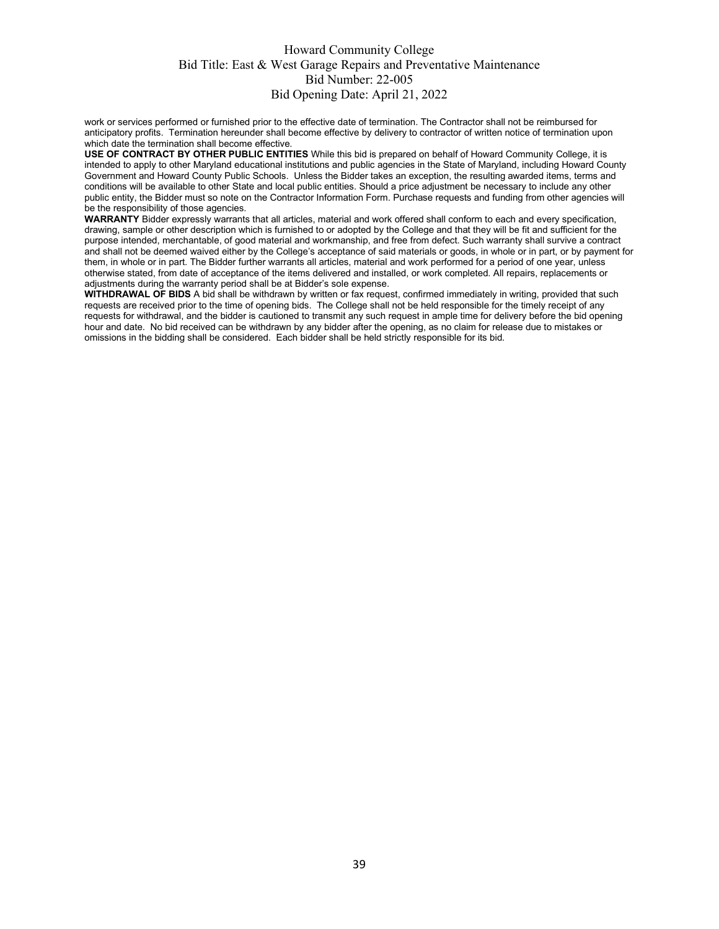work or services performed or furnished prior to the effective date of termination. The Contractor shall not be reimbursed for anticipatory profits. Termination hereunder shall become effective by delivery to contractor of written notice of termination upon which date the termination shall become effective.

**USE OF CONTRACT BY OTHER PUBLIC ENTITIES** While this bid is prepared on behalf of Howard Community College, it is intended to apply to other Maryland educational institutions and public agencies in the State of Maryland, including Howard County Government and Howard County Public Schools. Unless the Bidder takes an exception, the resulting awarded items, terms and conditions will be available to other State and local public entities. Should a price adjustment be necessary to include any other public entity, the Bidder must so note on the Contractor Information Form. Purchase requests and funding from other agencies will be the responsibility of those agencies.

**WARRANTY** Bidder expressly warrants that all articles, material and work offered shall conform to each and every specification, drawing, sample or other description which is furnished to or adopted by the College and that they will be fit and sufficient for the purpose intended, merchantable, of good material and workmanship, and free from defect. Such warranty shall survive a contract and shall not be deemed waived either by the College's acceptance of said materials or goods, in whole or in part, or by payment for them, in whole or in part. The Bidder further warrants all articles, material and work performed for a period of one year, unless otherwise stated, from date of acceptance of the items delivered and installed, or work completed. All repairs, replacements or adjustments during the warranty period shall be at Bidder's sole expense.

**WITHDRAWAL OF BIDS** A bid shall be withdrawn by written or fax request, confirmed immediately in writing, provided that such requests are received prior to the time of opening bids. The College shall not be held responsible for the timely receipt of any requests for withdrawal, and the bidder is cautioned to transmit any such request in ample time for delivery before the bid opening hour and date. No bid received can be withdrawn by any bidder after the opening, as no claim for release due to mistakes or omissions in the bidding shall be considered. Each bidder shall be held strictly responsible for its bid.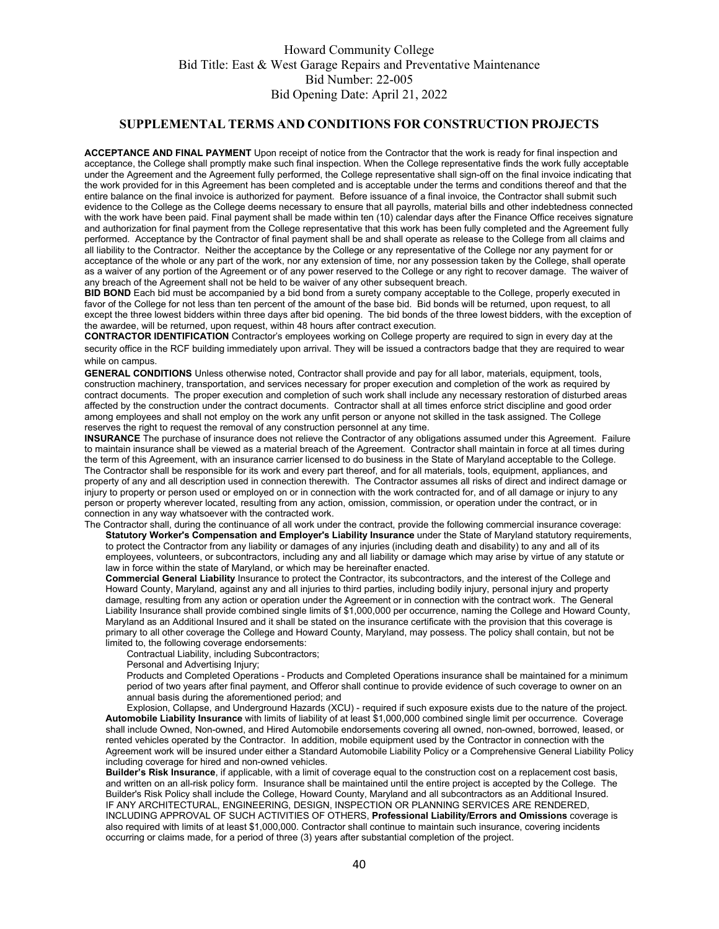#### **SUPPLEMENTAL TERMS AND CONDITIONS FOR CONSTRUCTION PROJECTS**

**ACCEPTANCE AND FINAL PAYMENT** Upon receipt of notice from the Contractor that the work is ready for final inspection and acceptance, the College shall promptly make such final inspection. When the College representative finds the work fully acceptable under the Agreement and the Agreement fully performed, the College representative shall sign-off on the final invoice indicating that the work provided for in this Agreement has been completed and is acceptable under the terms and conditions thereof and that the entire balance on the final invoice is authorized for payment. Before issuance of a final invoice, the Contractor shall submit such evidence to the College as the College deems necessary to ensure that all payrolls, material bills and other indebtedness connected with the work have been paid. Final payment shall be made within ten (10) calendar days after the Finance Office receives signature and authorization for final payment from the College representative that this work has been fully completed and the Agreement fully performed. Acceptance by the Contractor of final payment shall be and shall operate as release to the College from all claims and all liability to the Contractor. Neither the acceptance by the College or any representative of the College nor any payment for or acceptance of the whole or any part of the work, nor any extension of time, nor any possession taken by the College, shall operate as a waiver of any portion of the Agreement or of any power reserved to the College or any right to recover damage. The waiver of any breach of the Agreement shall not be held to be waiver of any other subsequent breach.

**BID BOND** Each bid must be accompanied by a bid bond from a surety company acceptable to the College, properly executed in favor of the College for not less than ten percent of the amount of the base bid. Bid bonds will be returned, upon request, to all except the three lowest bidders within three days after bid opening. The bid bonds of the three lowest bidders, with the exception of the awardee, will be returned, upon request, within 48 hours after contract execution.

**CONTRACTOR IDENTIFICATION** Contractor's employees working on College property are required to sign in every day at the security office in the RCF building immediately upon arrival. They will be issued a contractors badge that they are required to wear while on campus.

**GENERAL CONDITIONS** Unless otherwise noted, Contractor shall provide and pay for all labor, materials, equipment, tools, construction machinery, transportation, and services necessary for proper execution and completion of the work as required by contract documents.The proper execution and completion of such work shall include any necessary restoration of disturbed areas affected by the construction under the contract documents. Contractor shall at all times enforce strict discipline and good order among employees and shall not employ on the work any unfit person or anyone not skilled in the task assigned. The College reserves the right to request the removal of any construction personnel at any time.

**INSURANCE** The purchase of insurance does not relieve the Contractor of any obligations assumed under this Agreement. Failure to maintain insurance shall be viewed as a material breach of the Agreement. Contractor shall maintain in force at all times during the term of this Agreement, with an insurance carrier licensed to do business in the State of Maryland acceptable to the College. The Contractor shall be responsible for its work and every part thereof, and for all materials, tools, equipment, appliances, and property of any and all description used in connection therewith. The Contractor assumes all risks of direct and indirect damage or injury to property or person used or employed on or in connection with the work contracted for, and of all damage or injury to any person or property wherever located, resulting from any action, omission, commission, or operation under the contract, or in connection in any way whatsoever with the contracted work.

The Contractor shall, during the continuance of all work under the contract, provide the following commercial insurance coverage: **Statutory Worker's Compensation and Employer's Liability Insurance** under the State of Maryland statutory requirements, to protect the Contractor from any liability or damages of any injuries (including death and disability) to any and all of its employees, volunteers, or subcontractors, including any and all liability or damage which may arise by virtue of any statute or law in force within the state of Maryland, or which may be hereinafter enacted.

**Commercial General Liability** Insurance to protect the Contractor, its subcontractors, and the interest of the College and Howard County, Maryland, against any and all injuries to third parties, including bodily injury, personal injury and property damage, resulting from any action or operation under the Agreement or in connection with the contract work. The General Liability Insurance shall provide combined single limits of \$1,000,000 per occurrence, naming the College and Howard County, Maryland as an Additional Insured and it shall be stated on the insurance certificate with the provision that this coverage is primary to all other coverage the College and Howard County, Maryland, may possess. The policy shall contain, but not be limited to, the following coverage endorsements:

Contractual Liability, including Subcontractors;

Personal and Advertising Injury;

Products and Completed Operations - Products and Completed Operations insurance shall be maintained for a minimum period of two years after final payment, and Offeror shall continue to provide evidence of such coverage to owner on an annual basis during the aforementioned period; and

Explosion, Collapse, and Underground Hazards (XCU) - required if such exposure exists due to the nature of the project. **Automobile Liability Insurance** with limits of liability of at least \$1,000,000 combined single limit per occurrence. Coverage shall include Owned, Non-owned, and Hired Automobile endorsements covering all owned, non-owned, borrowed, leased, or rented vehicles operated by the Contractor. In addition, mobile equipment used by the Contractor in connection with the Agreement work will be insured under either a Standard Automobile Liability Policy or a Comprehensive General Liability Policy including coverage for hired and non-owned vehicles.

**Builder's Risk Insurance**, if applicable, with a limit of coverage equal to the construction cost on a replacement cost basis, and written on an all-risk policy form. Insurance shall be maintained until the entire project is accepted by the College. The Builder's Risk Policy shall include the College, Howard County, Maryland and all subcontractors as an Additional Insured. IF ANY ARCHITECTURAL, ENGINEERING, DESIGN, INSPECTION OR PLANNING SERVICES ARE RENDERED, INCLUDING APPROVAL OF SUCH ACTIVITIES OF OTHERS, **Professional Liability/Errors and Omissions** coverage is also required with limits of at least \$1,000,000. Contractor shall continue to maintain such insurance, covering incidents occurring or claims made, for a period of three (3) years after substantial completion of the project.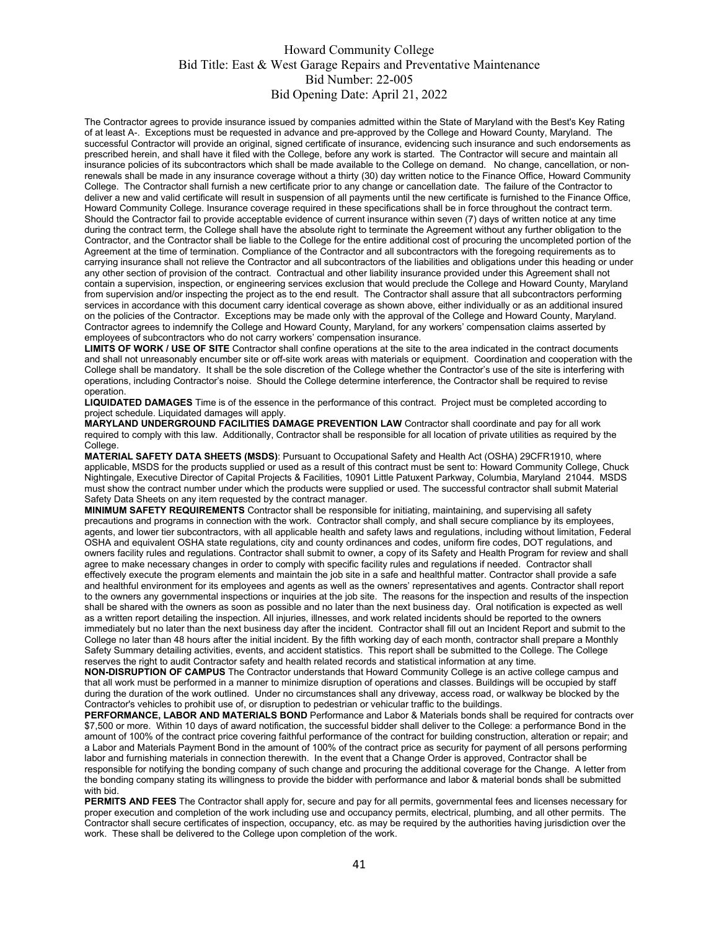The Contractor agrees to provide insurance issued by companies admitted within the State of Maryland with the Best's Key Rating of at least A-. Exceptions must be requested in advance and pre-approved by the College and Howard County, Maryland. The successful Contractor will provide an original, signed certificate of insurance, evidencing such insurance and such endorsements as prescribed herein, and shall have it filed with the College, before any work is started. The Contractor will secure and maintain all insurance policies of its subcontractors which shall be made available to the College on demand. No change, cancellation, or nonrenewals shall be made in any insurance coverage without a thirty (30) day written notice to the Finance Office, Howard Community College. The Contractor shall furnish a new certificate prior to any change or cancellation date. The failure of the Contractor to deliver a new and valid certificate will result in suspension of all payments until the new certificate is furnished to the Finance Office, Howard Community College. Insurance coverage required in these specifications shall be in force throughout the contract term. Should the Contractor fail to provide acceptable evidence of current insurance within seven (7) days of written notice at any time during the contract term, the College shall have the absolute right to terminate the Agreement without any further obligation to the Contractor, and the Contractor shall be liable to the College for the entire additional cost of procuring the uncompleted portion of the Agreement at the time of termination. Compliance of the Contractor and all subcontractors with the foregoing requirements as to carrying insurance shall not relieve the Contractor and all subcontractors of the liabilities and obligations under this heading or under any other section of provision of the contract. Contractual and other liability insurance provided under this Agreement shall not contain a supervision, inspection, or engineering services exclusion that would preclude the College and Howard County, Maryland from supervision and/or inspecting the project as to the end result. The Contractor shall assure that all subcontractors performing services in accordance with this document carry identical coverage as shown above, either individually or as an additional insured on the policies of the Contractor. Exceptions may be made only with the approval of the College and Howard County, Maryland. Contractor agrees to indemnify the College and Howard County, Maryland, for any workers' compensation claims asserted by employees of subcontractors who do not carry workers' compensation insurance.

LIMITS OF WORK / USE OF SITE Contractor shall confine operations at the site to the area indicated in the contract documents and shall not unreasonably encumber site or off-site work areas with materials or equipment. Coordination and cooperation with the College shall be mandatory. It shall be the sole discretion of the College whether the Contractor's use of the site is interfering with operations, including Contractor's noise. Should the College determine interference, the Contractor shall be required to revise operation.

**LIQUIDATED DAMAGES** Time is of the essence in the performance of this contract. Project must be completed according to project schedule. Liquidated damages will apply.

**MARYLAND UNDERGROUND FACILITIES DAMAGE PREVENTION LAW** Contractor shall coordinate and pay for all work required to comply with this law. Additionally, Contractor shall be responsible for all location of private utilities as required by the **College** 

**MATERIAL SAFETY DATA SHEETS (MSDS)**: Pursuant to Occupational Safety and Health Act (OSHA) 29CFR1910, where applicable, MSDS for the products supplied or used as a result of this contract must be sent to: Howard Community College, Chuck Nightingale, Executive Director of Capital Projects & Facilities, 10901 Little Patuxent Parkway, Columbia, Maryland 21044. MSDS must show the contract number under which the products were supplied or used. The successful contractor shall submit Material Safety Data Sheets on any item requested by the contract manager.

**MINIMUM SAFETY REQUIREMENTS** Contractor shall be responsible for initiating, maintaining, and supervising all safety precautions and programs in connection with the work. Contractor shall comply, and shall secure compliance by its employees, agents, and lower tier subcontractors, with all applicable health and safety laws and regulations, including without limitation, Federal OSHA and equivalent OSHA state regulations, city and county ordinances and codes, uniform fire codes, DOT regulations, and owners facility rules and regulations. Contractor shall submit to owner, a copy of its Safety and Health Program for review and shall agree to make necessary changes in order to comply with specific facility rules and regulations if needed. Contractor shall effectively execute the program elements and maintain the job site in a safe and healthful matter. Contractor shall provide a safe and healthful environment for its employees and agents as well as the owners' representatives and agents. Contractor shall report to the owners any governmental inspections or inquiries at the job site. The reasons for the inspection and results of the inspection shall be shared with the owners as soon as possible and no later than the next business day. Oral notification is expected as well as a written report detailing the inspection. All injuries, illnesses, and work related incidents should be reported to the owners immediately but no later than the next business day after the incident. Contractor shall fill out an Incident Report and submit to the College no later than 48 hours after the initial incident. By the fifth working day of each month, contractor shall prepare a Monthly Safety Summary detailing activities, events, and accident statistics. This report shall be submitted to the College. The College reserves the right to audit Contractor safety and health related records and statistical information at any time.

**NON-DISRUPTION OF CAMPUS** The Contractor understands that Howard Community College is an active college campus and that all work must be performed in a manner to minimize disruption of operations and classes. Buildings will be occupied by staff during the duration of the work outlined. Under no circumstances shall any driveway, access road, or walkway be blocked by the Contractor's vehicles to prohibit use of, or disruption to pedestrian or vehicular traffic to the buildings.

**PERFORMANCE, LABOR AND MATERIALS BOND** Performance and Labor & Materials bonds shall be required for contracts over \$7,500 or more. Within 10 days of award notification, the successful bidder shall deliver to the College: a performance Bond in the amount of 100% of the contract price covering faithful performance of the contract for building construction, alteration or repair; and a Labor and Materials Payment Bond in the amount of 100% of the contract price as security for payment of all persons performing labor and furnishing materials in connection therewith. In the event that a Change Order is approved, Contractor shall be responsible for notifying the bonding company of such change and procuring the additional coverage for the Change. A letter from the bonding company stating its willingness to provide the bidder with performance and labor & material bonds shall be submitted with bid.

**PERMITS AND FEES** The Contractor shall apply for, secure and pay for all permits, governmental fees and licenses necessary for proper execution and completion of the work including use and occupancy permits, electrical, plumbing, and all other permits. The Contractor shall secure certificates of inspection, occupancy, etc. as may be required by the authorities having jurisdiction over the work. These shall be delivered to the College upon completion of the work.